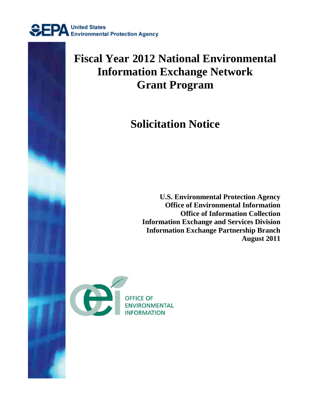

# **Fiscal Year 2012 National Environmental Information Exchange Network Grant Program**

## **Solicitation Notice**

**U.S. Environmental Protection Agency Office of Environmental Information Office of Information Collection Information Exchange and Services Division Information Exchange Partnership Branch August 2011**



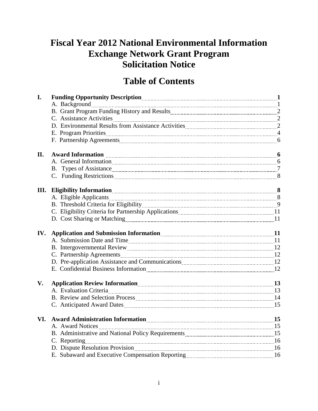## **Fiscal Year 2012 National Environmental Information Exchange Network Grant Program Solicitation Notice**

## **Table of Contents**

| I.  |                                                                                                                                                                                                                                |  |
|-----|--------------------------------------------------------------------------------------------------------------------------------------------------------------------------------------------------------------------------------|--|
|     |                                                                                                                                                                                                                                |  |
|     |                                                                                                                                                                                                                                |  |
|     | C. Assistance Activities 2000 and 2000 and 2000 and 2000 and 2000 and 2000 and 2000 and 2000 and 2000 and 2000 and 2000 and 2000 and 2000 and 2000 and 2000 and 2000 and 2000 and 2000 and 2000 and 2000 and 2000 and 2000 and |  |
|     |                                                                                                                                                                                                                                |  |
|     |                                                                                                                                                                                                                                |  |
|     |                                                                                                                                                                                                                                |  |
| II. |                                                                                                                                                                                                                                |  |
|     |                                                                                                                                                                                                                                |  |
|     | B. Types of Assistance <u>manual contract and a series of Assistance</u> 7                                                                                                                                                     |  |
|     | C. Funding Restrictions <b>C. Funding Restrictions</b> 8                                                                                                                                                                       |  |
| Ш.  |                                                                                                                                                                                                                                |  |
|     |                                                                                                                                                                                                                                |  |
|     |                                                                                                                                                                                                                                |  |
|     | C. Eligibility Criteria for Partnership Applications [11] [12] The Eligibility Criteria for Partnership Applications [11] [12] The Eligibility Criteria for Partnership Applications [12] The Eligibility Criteria for Partner |  |
|     |                                                                                                                                                                                                                                |  |
| IV. | Application and Submission Information <b>Manufacture 11</b> 11                                                                                                                                                                |  |
|     |                                                                                                                                                                                                                                |  |
|     |                                                                                                                                                                                                                                |  |
|     |                                                                                                                                                                                                                                |  |
|     |                                                                                                                                                                                                                                |  |
|     | E. Confidential Business Information 2000 and 2000 and 2000 and 2000 and 2000 and 2000 and 2000 and 2000 and 2000 and 2000 and 2000 and 2000 and 2000 and 2000 and 2000 and 2000 and 2000 and 2000 and 2000 and 2000 and 2000  |  |
| V.  | Application Review Information 2008 and 2008 and 2008 and 2008 and 2008 and 2008 and 2008 and 2008 and 2008 and 2008 and 2008 and 2008 and 2008 and 2008 and 2008 and 2008 and 2008 and 2008 and 2008 and 2008 and 2008 and 20 |  |
|     | A. Evaluation Criteria 2000 13                                                                                                                                                                                                 |  |
|     | B. Review and Selection Process Manual Communication and Selection Process Manual Communication and 14                                                                                                                         |  |
|     |                                                                                                                                                                                                                                |  |
| VI. |                                                                                                                                                                                                                                |  |
|     |                                                                                                                                                                                                                                |  |
|     |                                                                                                                                                                                                                                |  |
|     |                                                                                                                                                                                                                                |  |
|     | D. Dispute Resolution Provision Material Communication and Above 16                                                                                                                                                            |  |
|     | E. Subaward and Executive Compensation Reporting [16] [16] The Subaward and Executive Compensation Reporting [16] [16] The Subaward and Executive Compensation Reporting [16] The Subaward and Executive Compensation Reportin |  |
|     |                                                                                                                                                                                                                                |  |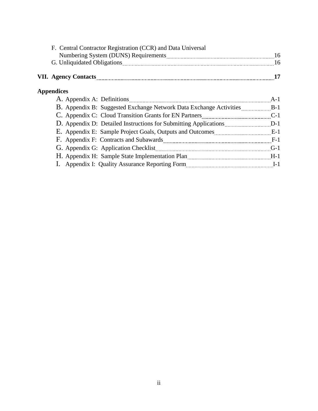| F. Central Contractor Registration (CCR) and Data Universal                                                    |           |
|----------------------------------------------------------------------------------------------------------------|-----------|
| Numbering System (DUNS) Requirements [16] Manuscript Research 16                                               |           |
| G. Unliquidated Obligations [16] The Contract of the United States of the Unliquidated Obligations [16] The Co |           |
|                                                                                                                | <b>17</b> |
| <b>Appendices</b>                                                                                              |           |
|                                                                                                                | $A-1$     |
|                                                                                                                |           |
| C. Appendix C: Cloud Transition Grants for EN Partners <b>Election</b> C-1                                     |           |
|                                                                                                                |           |
| E. Appendix E: Sample Project Goals, Outputs and Outcomes <b>ELE</b> 1                                         |           |
|                                                                                                                | $F-1$     |
| G. Appendix G: Application Checklist Manual Communication and G-1                                              |           |
| H. Appendix H: Sample State Implementation Plan <b>Manuel Accord Container</b> H-1                             |           |
|                                                                                                                |           |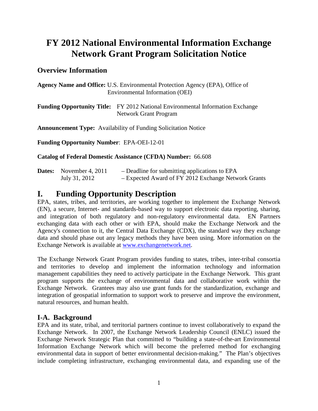## **FY 2012 National Environmental Information Exchange Network Grant Program Solicitation Notice**

#### **Overview Information**

**Agency Name and Office:** U.S. Environmental Protection Agency (EPA), Office of Environmental Information (OEI)

**Funding Opportunity Title:** FY 2012 National Environmental Information Exchange Network Grant Program

**Announcement Type:** Availability of Funding Solicitation Notice

**Funding Opportunity Number**: EPA-OEI-12-01

**Catalog of Federal Domestic Assistance (CFDA) Number:** 66.608

| <b>Dates:</b> November 4, 2011 | - Deadline for submitting applications to EPA       |
|--------------------------------|-----------------------------------------------------|
| July 31, 2012                  | - Expected Award of FY 2012 Exchange Network Grants |

## **I. Funding Opportunity Description**

EPA, states, tribes, and territories, are working together to implement the Exchange Network (EN), a secure, Internet- and standards-based way to support electronic data reporting, sharing, and integration of both regulatory and non-regulatory environmental data. EN Partners exchanging data with each other or with EPA, should make the Exchange Network and the Agency's connection to it, the Central Data Exchange (CDX), the standard way they exchange data and should phase out any legacy methods they have been using. More information on the Exchange Network is available at www.exchangenetwork.net.

The Exchange Network Grant Program provides funding to states, tribes, inter-tribal consortia and territories to develop and implement the information technology and information management capabilities they need to actively participate in the Exchange Network. This grant program supports the exchange of environmental data and collaborative work within the Exchange Network. Grantees may also use grant funds for the standardization, exchange and integration of geospatial information to support work to preserve and improve the environment, natural resources, and human health.

#### **I-A. Background**

EPA and its state, tribal, and territorial partners continue to invest collaboratively to expand the Exchange Network. In 2007, the Exchange Network Leadership Council (ENLC) issued the Exchange Network Strategic Plan that committed to "building a state-of-the-art Environmental Information Exchange Network which will become the preferred method for exchanging environmental data in support of better environmental decision-making." The Plan's objectives include completing infrastructure, exchanging environmental data, and expanding use of the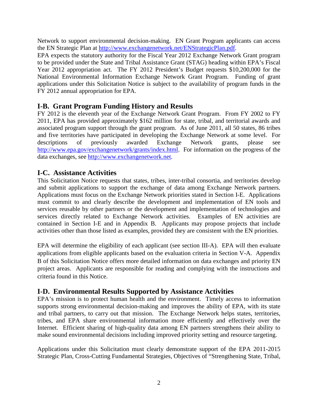Network to support environmental decision-making. EN Grant Program applicants can access the EN Strategic Plan at [http://www.exchangenetwork.net/ENStrategicPlan.pdf.](http://www.exchangenetwork.net/ENStrategicPlan.pdf)

EPA expects the statutory authority for the Fiscal Year 2012 Exchange Network Grant program to be provided under the State and Tribal Assistance Grant (STAG) heading within EPA's Fiscal Year 2012 appropriation act. The FY 2012 President's Budget requests \$10,200,000 for the National Environmental Information Exchange Network Grant Program. Funding of grant applications under this Solicitation Notice is subject to the availability of program funds in the FY 2012 annual appropriation for EPA.

#### **I-B. Grant Program Funding History and Results**

FY 2012 is the eleventh year of the Exchange Network Grant Program. From FY 2002 to FY 2011, EPA has provided approximately \$162 million for state, tribal, and territorial awards and associated program support through the grant program. As of June 2011, all 50 states, 86 tribes and five territories have participated in developing the Exchange Network at some level. For descriptions of previously awarded Exchange Network grants, please see [http://www.epa.gov/exchangenetwork/grants/index.html.](http://www.epa.gov/exchangenetwork/grants/index.html) For information on the progress of the data exchanges, see [http://www.exchangenetwork.net.](http://www.exchangenetwork.net/)

#### **I-C. Assistance Activities**

This Solicitation Notice requests that states, tribes, inter-tribal consortia, and territories develop and submit applications to support the exchange of data among Exchange Network partners. Applications must focus on the Exchange Network priorities stated in Section I-E. Applications must commit to and clearly describe the development and implementation of EN tools and services reusable by other partners or the development and implementation of technologies and services directly related to Exchange Network activities. Examples of EN activities are contained in Section I-E and in Appendix B. Applicants may propose projects that include activities other than those listed as examples, provided they are consistent with the EN priorities.

EPA will determine the eligibility of each applicant (see section III-A). EPA will then evaluate applications from eligible applicants based on the evaluation criteria in Section V-A. Appendix B of this Solicitation Notice offers more detailed information on data exchanges and priority EN project areas. Applicants are responsible for reading and complying with the instructions and criteria found in this Notice.

#### **I-D. Environmental Results Supported by Assistance Activities**

EPA's mission is to protect human health and the environment. Timely access to information supports strong environmental decision-making and improves the ability of EPA, with its state and tribal partners, to carry out that mission. The Exchange Network helps states, territories, tribes, and EPA share environmental information more efficiently and effectively over the Internet. Efficient sharing of high-quality data among EN partners strengthens their ability to make sound environmental decisions including improved priority setting and resource targeting.

Applications under this Solicitation must clearly demonstrate support of the EPA 2011-2015 Strategic Plan, Cross-Cutting Fundamental Strategies, Objectives of "Strengthening State, Tribal,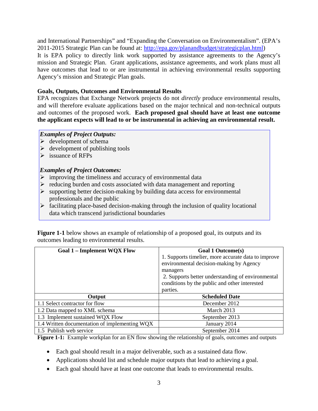and International Partnerships" and "Expanding the Conversation on Environmentalism". (EPA's 2011-2015 Strategic Plan can be found at: [http://epa.gov/planandbudget/strategicplan.html\)](http://epa.gov/planandbudget/strategicplan.html) It is EPA policy to directly link work supported by assistance agreements to the Agency's mission and Strategic Plan. Grant applications, assistance agreements, and work plans must all have outcomes that lead to or are instrumental in achieving environmental results supporting Agency's mission and Strategic Plan goals.

#### **Goals, Outputs, Outcomes and Environmental Results**

EPA recognizes that Exchange Network projects do not *directly* produce environmental results, and will therefore evaluate applications based on the major technical and non-technical outputs and outcomes of the proposed work. **Each proposed goal should have at least one outcome the applicant expects will lead to or be instrumental in achieving an environmental result.**

#### *Examples of Project Outputs:*

- $\triangleright$  development of schema
- $\triangleright$  development of publishing tools
- $\triangleright$  issuance of RFPs

#### *Examples of Project Outcomes:*

- $\triangleright$  improving the timeliness and accuracy of environmental data
- $\triangleright$  reducing burden and costs associated with data management and reporting
- $\triangleright$  supporting better decision-making by building data access for environmental professionals and the public
- $\triangleright$  facilitating place-based decision-making through the inclusion of quality locational data which transcend jurisdictional boundaries

**Figure 1-1** below shows an example of relationship of a proposed goal, its outputs and its outcomes leading to environmental results.

| <b>Goal 1 – Implement WQX Flow</b>            | <b>Goal 1 Outcome(s)</b><br>1. Supports timelier, more accurate data to improve<br>environmental decision-making by Agency<br>managers<br>2. Supports better understanding of environmental<br>conditions by the public and other interested<br>parties. |  |
|-----------------------------------------------|----------------------------------------------------------------------------------------------------------------------------------------------------------------------------------------------------------------------------------------------------------|--|
| Output                                        | <b>Scheduled Date</b>                                                                                                                                                                                                                                    |  |
| 1.1 Select contractor for flow                | December 2012                                                                                                                                                                                                                                            |  |
| 1.2 Data mapped to XML schema                 | March 2013                                                                                                                                                                                                                                               |  |
| 1.3 Implement sustained WQX Flow              | September 2013                                                                                                                                                                                                                                           |  |
| 1.4 Written documentation of implementing WQX | January 2014                                                                                                                                                                                                                                             |  |
| 1.5 Publish web service                       | September 2014                                                                                                                                                                                                                                           |  |

**Figure 1-1:** Example workplan for an EN flow showing the relationship of goals, outcomes and outputs

- Each goal should result in a major deliverable, such as a sustained data flow.
- Applications should list and schedule major outputs that lead to achieving a goal.
- Each goal should have at least one outcome that leads to environmental results.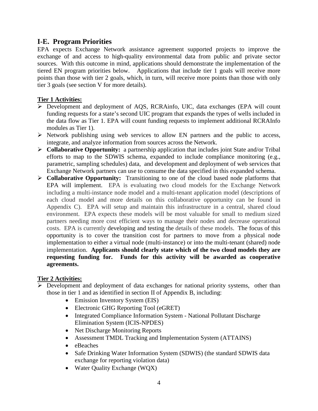#### **I-E. Program Priorities**

EPA expects Exchange Network assistance agreement supported projects to improve the exchange of and access to high-quality environmental data from public and private sector sources. With this outcome in mind, applications should demonstrate the implementation of the tiered EN program priorities below. Applications that include tier 1 goals will receive more points than those with tier 2 goals, which, in turn, will receive more points than those with only tier 3 goals (see section V for more details).

#### **Tier 1 Activities:**

- Development and deployment of AQS, RCRAinfo, UIC, data exchanges (EPA will count funding requests for a state's second UIC program that expands the types of wells included in the data flow as Tier 1. EPA will count funding requests to implement additional RCRAInfo modules as Tier 1).
- $\triangleright$  Network publishing using web services to allow EN partners and the public to access, integrate, and analyze information from sources across the Network.
- **Collaborative Opportunity:** a partnership application that includes joint State and/or Tribal efforts to map to the SDWIS schema, expanded to include compliance monitoring (e.g., parametric, sampling schedules) data, and development and deployment of web services that Exchange Network partners can use to consume the data specified in this expanded schema.
- **Collaborative Opportunity:** Transitioning to one of the cloud based node platforms that EPA will implement. EPA is evaluating two cloud models for the Exchange Network including a multi-instance node model and a multi-tenant application model (descriptions of each cloud model and more details on this collaborative opportunity can be found in Appendix C). EPA will setup and maintain this infrastructure in a central, shared cloud environment. EPA expects these models will be most valuable for small to medium sized partners needing more cost efficient ways to manage their nodes and decrease operational costs. EPA is currently developing and testing the details of these models. The focus of this opportunity is to cover the transition cost for partners to move from a physical node implementation to either a virtual node (multi-instance) or into the multi-tenant (shared) node implementation. **Applicants should clearly state which of the two cloud models they are requesting funding for. Funds for this activity will be awarded as cooperative agreements.**

#### **Tier 2 Activities:**

- $\triangleright$  Development and deployment of data exchanges for national priority systems, other than those in tier 1 and as identified in section II of Appendix B, including:
	- Emission Inventory System (EIS)
	- Electronic GHG Reporting Tool (eGRET)
	- Integrated Compliance Information System National Pollutant Discharge Elimination System (ICIS-NPDES)
	- Net Discharge Monitoring Reports
	- Assessment TMDL Tracking and Implementation System (ATTAINS)
	- eBeaches
	- Safe Drinking Water Information System (SDWIS) (the standard SDWIS data exchange for reporting violation data)
	- Water Quality Exchange (WQX)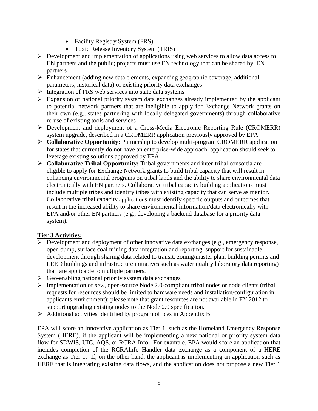- Facility Registry System (FRS)
- Toxic Release Inventory System (TRIS)
- $\triangleright$  Development and implementation of applications using web services to allow data access to EN partners and the public; projects must use EN technology that can be shared by EN partners
- $\triangleright$  Enhancement (adding new data elements, expanding geographic coverage, additional parameters, historical data) of existing priority data exchanges
- $\triangleright$  Integration of FRS web services into state data systems
- $\triangleright$  Expansion of national priority system data exchanges already implemented by the applicant to potential network partners that are ineligible to apply for Exchange Network grants on their own (e.g., states partnering with locally delegated governments) through collaborative re-use of existing tools and services
- Development and deployment of a Cross-Media Electronic Reporting Rule (CROMERR) system upgrade, described in a CROMERR application previously approved by EPA
- **Collaborative Opportunity:** Partnership to develop multi-program CROMERR application for states that currently do not have an enterprise-wide approach; application should seek to leverage existing solutions approved by EPA.
- **Collaborative Tribal Opportunity:** Tribal governments and inter-tribal consortia are eligible to apply for Exchange Network grants to build tribal capacity that will result in enhancing environmental programs on tribal lands and the ability to share environmental data electronically with EN partners. Collaborative tribal capacity building applications must include multiple tribes and identify tribes with existing capacity that can serve as mentor. Collaborative tribal capacity applications must identify specific outputs and outcomes that result in the increased ability to share environmental information/data electronically with EPA and/or other EN partners (e.g., developing a backend database for a priority data system).

#### **Tier 3 Activities:**

- $\triangleright$  Development and deployment of other innovative data exchanges (e.g., emergency response, open dump, surface coal mining data integration and reporting, support for sustainable development through sharing data related to transit, zoning/master plan, building permits and LEED buildings and infrastructure initiatives such as water quality laboratory data reporting) that are applicable to multiple partners.
- $\triangleright$  Geo-enabling national priority system data exchanges
- Implementation of *new*, open-source Node 2.0-compliant tribal nodes or node clients (tribal requests for resources should be limited to hardware needs and installation/configuration in applicants environment); please note that grant resources are not available in FY 2012 to support upgrading existing nodes to the Node 2.0 specification.
- $\triangleright$  Additional activities identified by program offices in Appendix B

EPA will score an innovative application as Tier 1, such as the Homeland Emergency Response System (HERE), if the applicant will be implementing a new national or priority system data flow for SDWIS, UIC, AQS, or RCRA Info. For example, EPA would score an application that includes completion of the RCRAInfo Handler data exchange as a component of a HERE exchange as Tier 1. If, on the other hand, the applicant is implementing an application such as HERE that is integrating existing data flows, and the application does not propose a new Tier 1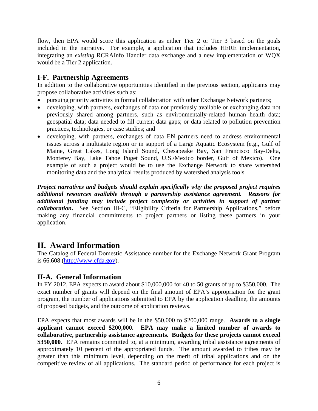flow, then EPA would score this application as either Tier 2 or Tier 3 based on the goals included in the narrative. For example, a application that includes HERE implementation, integrating an *existing* RCRAInfo Handler data exchange and a new implementation of WQX would be a Tier 2 application.

#### **I-F. Partnership Agreements**

In addition to the collaborative opportunities identified in the previous section, applicants may propose collaborative activities such as:

- pursuing priority activities in formal collaboration with other Exchange Network partners;
- developing, with partners, exchanges of data not previously available or exchanging data not previously shared among partners, such as environmentally-related human health data; geospatial data; data needed to fill current data gaps; or data related to pollution prevention practices, technologies, or case studies; and
- developing, with partners, exchanges of data EN partners need to address environmental issues across a multistate region or in support of a Large Aquatic Ecosystem (e.g., Gulf of Maine, Great Lakes, Long Island Sound, Chesapeake Bay, San Francisco Bay-Delta, Monterey Bay, Lake Tahoe Puget Sound, U.S./Mexico border, Gulf of Mexico). One example of such a project would be to use the Exchange Network to share watershed monitoring data and the analytical results produced by watershed analysis tools.

*Project narratives and budgets should explain specifically why the proposed project requires additional resources available through a partnership assistance agreement. Reasons for additional funding may include project complexity or activities in support of partner collaboration.* See Section III-C, "Eligibility Criteria for Partnership Applications," before making any financial commitments to project partners or listing these partners in your application.

## **II. Award Information**

The Catalog of Federal Domestic Assistance number for the Exchange Network Grant Program is  $66.608$  [\(http://www.cfda.gov\)](http://www.cfda.gov/).

## **II-A. General Information**

In FY 2012, EPA expects to award about \$10,000,000 for 40 to 50 grants of up to \$350,000. The exact number of grants will depend on the final amount of EPA's appropriation for the grant program, the number of applications submitted to EPA by the application deadline, the amounts of proposed budgets, and the outcome of application reviews.

EPA expects that most awards will be in the \$50,000 to \$200,000 range. **Awards to a single applicant cannot exceed \$200,000. EPA may make a limited number of awards to collaborative, partnership assistance agreements. Budgets for these projects cannot exceed \$350,000.** EPA remains committed to, at a minimum, awarding tribal assistance agreements of approximately 10 percent of the appropriated funds. The amount awarded to tribes may be greater than this minimum level, depending on the merit of tribal applications and on the competitive review of all applications. The standard period of performance for each project is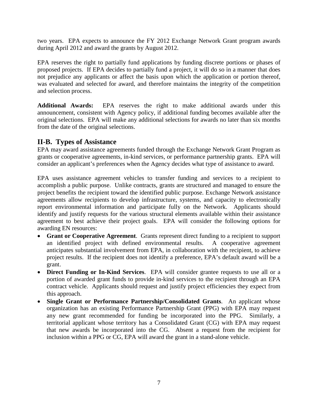two years. EPA expects to announce the FY 2012 Exchange Network Grant program awards during April 2012 and award the grants by August 2012.

EPA reserves the right to partially fund applications by funding discrete portions or phases of proposed projects. If EPA decides to partially fund a project, it will do so in a manner that does not prejudice any applicants or affect the basis upon which the application or portion thereof, was evaluated and selected for award, and therefore maintains the integrity of the competition and selection process.

**Additional Awards:** EPA reserves the right to make additional awards under this announcement, consistent with Agency policy, if additional funding becomes available after the original selections. EPA will make any additional selections for awards no later than six months from the date of the original selections.

#### **II-B. Types of Assistance**

EPA may award assistance agreements funded through the Exchange Network Grant Program as grants or cooperative agreements, in-kind services, or performance partnership grants. EPA will consider an applicant's preferences when the Agency decides what type of assistance to award.

EPA uses assistance agreement vehicles to transfer funding and services to a recipient to accomplish a public purpose. Unlike contracts, grants are structured and managed to ensure the project benefits the recipient toward the identified public purpose. Exchange Network assistance agreements allow recipients to develop infrastructure, systems, and capacity to electronically report environmental information and participate fully on the Network. Applicants should identify and justify requests for the various structural elements available within their assistance agreement to best achieve their project goals. EPA will consider the following options for awarding EN resources:

- **Grant or Cooperative Agreement**. Grants represent direct funding to a recipient to support an identified project with defined environmental results. A cooperative agreement anticipates substantial involvement from EPA, in collaboration with the recipient, to achieve project results. If the recipient does not identify a preference, EPA's default award will be a grant.
- **Direct Funding or In-Kind Services**. EPA will consider grantee requests to use all or a portion of awarded grant funds to provide in-kind services to the recipient through an EPA contract vehicle. Applicants should request and justify project efficiencies they expect from this approach.
- **Single Grant or Performance Partnership/Consolidated Grants**. An applicant whose organization has an existing Performance Partnership Grant (PPG) with EPA may request any new grant recommended for funding be incorporated into the PPG. Similarly, a territorial applicant whose territory has a Consolidated Grant (CG) with EPA may request that new awards be incorporated into the CG. Absent a request from the recipient for inclusion within a PPG or CG, EPA will award the grant in a stand-alone vehicle.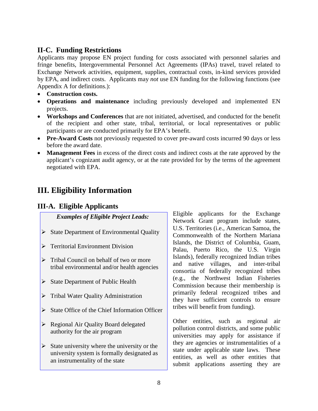#### **II-C. Funding Restrictions**

Applicants may propose EN project funding for costs associated with personnel salaries and fringe benefits, Intergovernmental Personnel Act Agreements (IPAs) travel, travel related to Exchange Network activities, equipment, supplies, contractual costs, in-kind services provided by EPA, and indirect costs. Applicants may *not* use EN funding for the following functions (see Appendix A for definitions.):

- **Construction costs.**
- **Operations and maintenance** including previously developed and implemented EN projects.
- **Workshops and Conferences** that are not initiated, advertised, and conducted for the benefit of the recipient and other state, tribal, territorial, or local representatives or public participants or are conducted primarily for EPA's benefit.
- **Pre-Award Costs** not previously requested to cover pre-award costs incurred 90 days or less before the award date.
- **Management Fees** in excess of the direct costs and indirect costs at the rate approved by the applicant's cognizant audit agency, or at the rate provided for by the terms of the agreement negotiated with EPA.

## **III. Eligibility Information**

#### **III-A. Eligible Applicants**

*Examples of Eligible Project Leads:*  $\triangleright$  State Department of Environmental Quality  $\triangleright$  Territorial Environment Division  $\triangleright$  Tribal Council on behalf of two or more tribal environmental and/or health agencies  $\triangleright$  State Department of Public Health  $\triangleright$  Tribal Water Quality Administration  $\triangleright$  State Office of the Chief Information Officer  $\triangleright$  Regional Air Quality Board delegated authority for the air program  $\triangleright$  State university where the university or the university system is formally designated as an instrumentality of the state

Eligible applicants for the Exchange Network Grant program include states, U.S. Territories (i.e., American Samoa, the Commonwealth of the Northern Mariana Islands, the District of Columbia, Guam, Palau, Puerto Rico, the U.S. Virgin Islands), federally recognized Indian tribes and native villages, and inter-tribal consortia of federally recognized tribes (e.g., the Northwest Indian Fisheries Commission because their membership is primarily federal recognized tribes and they have sufficient controls to ensure tribes will benefit from funding).

Other entities, such as regional air pollution control districts, and some public universities may apply for assistance if they are agencies or instrumentalities of a state under applicable state laws. These entities, as well as other entities that submit applications asserting they are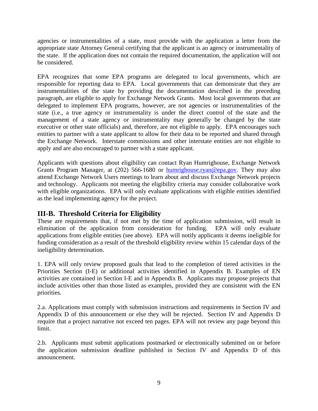agencies or instrumentalities of a state, must provide with the application a letter from the appropriate state Attorney General certifying that the applicant is an agency or instrumentality of the state. If the application does not contain the required documentation, the application will not be considered.

EPA recognizes that some EPA programs are delegated to local governments, which are responsible for reporting data to EPA. Local governments that can demonstrate that they are instrumentalities of the state by providing the documentation described in the preceding paragraph, are eligible to apply for Exchange Network Grants. Most local governments that are delegated to implement EPA programs, however, are not agencies or instrumentalities of the state (i.e., a true agency or instrumentality is under the direct control of the state and the management of a state agency or instrumentality may generally be changed by the state executive or other state officials) and, therefore, are not eligible to apply. EPA encourages such entities to partner with a state applicant to allow for their data to be reported and shared through the Exchange Network. Interstate commissions and other interstate entities are not eligible to apply and are also encouraged to partner with a state applicant.

Applicants with questions about eligibility can contact Ryan Humrighouse, Exchange Network Grants Program Manager, at (202) 566-1680 or [humrighouse.ryan@epa.gov.](mailto:humrighouse.ryan@epa.gov) They may also attend Exchange Network Users meetings to learn about and discuss Exchange Network projects and technology. Applicants not meeting the eligibility criteria may consider collaborative work with eligible organizations. EPA will only evaluate applications with eligible entities identified as the lead implementing agency for the project.

#### **III-B. Threshold Criteria for Eligibility**

These are requirements that, if not met by the time of application submission, will result in elimination of the application from consideration for funding. EPA will only evaluate applications from eligible entities (see above). EPA will notify applicants it deems ineligible for funding consideration as a result of the threshold eligibility review within 15 calendar days of the ineligibility determination.

1. EPA will only review proposed goals that lead to the completion of tiered activities in the Priorities Section (I-E) or additional activities identified in Appendix B. Examples of EN activities are contained in Section I-E and in Appendix B. Applicants may propose projects that include activities other than those listed as examples, provided they are consistent with the EN priorities.

2.a. Applications must comply with submission instructions and requirements in Section IV and Appendix D of this announcement or else they will be rejected. Section IV and Appendix D require that a project narrative not exceed ten pages. EPA will not review any page beyond this limit.

2.b. Applicants must submit applications postmarked or electronically submitted on or before the application submission deadline published in Section IV and Appendix D of this announcement.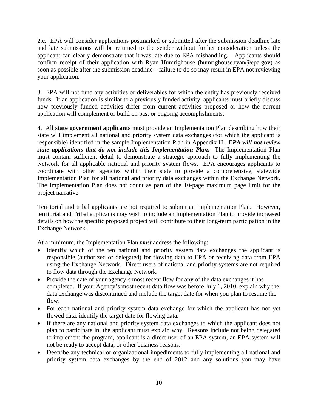2.c. EPA will consider applications postmarked or submitted after the submission deadline late and late submissions will be returned to the sender without further consideration unless the applicant can clearly demonstrate that it was late due to EPA mishandling. Applicants should confirm receipt of their application with Ryan Humrighouse (humrighouse.ryan@epa.gov) as soon as possible after the submission deadline – failure to do so may result in EPA not reviewing your application.

3. EPA will not fund any activities or deliverables for which the entity has previously received funds. If an application is similar to a previously funded activity, applicants must briefly discuss how previously funded activities differ from current activities proposed or how the current application will complement or build on past or ongoing accomplishments.

4. All **state government applicants** must provide an Implementation Plan describing how their state will implement all national and priority system data exchanges (for which the applicant is responsible) identified in the sample Implementation Plan in Appendix H. *EPA will not review state applications that do not include this Implementation Plan.* The Implementation Plan must contain sufficient detail to demonstrate a strategic approach to fully implementing the Network for all applicable national and priority system flows.EPA encourages applicants to coordinate with other agencies within their state to provide a comprehensive, statewide Implementation Plan for all national and priority data exchanges within the Exchange Network. The Implementation Plan does not count as part of the 10-page maximum page limit for the project narrative

Territorial and tribal applicants are not required to submit an Implementation Plan. However, territorial and Tribal applicants may wish to include an Implementation Plan to provide increased details on how the specific proposed project will contribute to their long-term participation in the Exchange Network.

At a minimum, the Implementation Plan *must* address the following:

- Identify which of the ten national and priority system data exchanges the applicant is responsible (authorized or delegated) for flowing data to EPA or receiving data from EPA using the Exchange Network. Direct users of national and priority systems are not required to flow data through the Exchange Network.
- Provide the date of your agency's most recent flow for any of the data exchanges it has completed. If your Agency's most recent data flow was before July 1, 2010, explain why the data exchange was discontinued and include the target date for when you plan to resume the flow.
- For each national and priority system data exchange for which the applicant has not yet flowed data, identify the target date for flowing data.
- If there are any national and priority system data exchanges to which the applicant does not plan to participate in, the applicant must explain why. Reasons include not being delegated to implement the program, applicant is a direct user of an EPA system, an EPA system will not be ready to accept data, or other business reasons.
- Describe any technical or organizational impediments to fully implementing all national and priority system data exchanges by the end of 2012 and any solutions you may have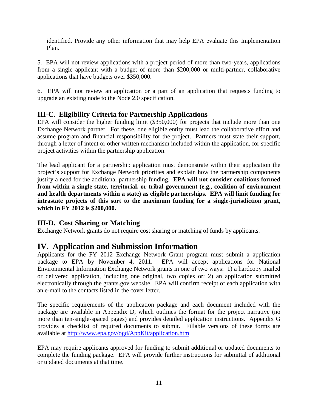identified. Provide any other information that may help EPA evaluate this Implementation Plan.

5. EPA will not review applications with a project period of more than two-years, applications from a single applicant with a budget of more than \$200,000 or multi-partner, collaborative applications that have budgets over \$350,000.

6. EPA will not review an application or a part of an application that requests funding to upgrade an existing node to the Node 2.0 specification.

#### **III-C. Eligibility Criteria for Partnership Applications**

EPA will consider the higher funding limit (\$350,000) for projects that include more than one Exchange Network partner. For these, one eligible entity must lead the collaborative effort and assume program and financial responsibility for the project. Partners must state their support, through a letter of intent or other written mechanism included within the application, for specific project activities within the partnership application.

The lead applicant for a partnership application must demonstrate within their application the project's support for Exchange Network priorities and explain how the partnership components justify a need for the additional partnership funding. **EPA will not consider coalitions formed from within a single state, territorial, or tribal government (e.g., coalition of environment and health departments within a state) as eligible partnerships. EPA will limit funding for intrastate projects of this sort to the maximum funding for a single-jurisdiction grant, which in FY 2012 is \$200,000.**

#### **III-D. Cost Sharing or Matching**

Exchange Network grants do not require cost sharing or matching of funds by applicants.

## **IV. Application and Submission Information**

Applicants for the FY 2012 Exchange Network Grant program must submit a application package to EPA by November 4, 2011. EPA will accept applications for National Environmental Information Exchange Network grants in one of two ways: 1) a hardcopy mailed or delivered application, including one original, two copies or; 2) an application submitted electronically through the grants.gov website. EPA will confirm receipt of each application with an e-mail to the contacts listed in the cover letter.

The specific requirements of the application package and each document included with the package are available in Appendix D, which outlines the format for the project narrative (no more than ten-single-spaced pages) and provides detailed application instructions. Appendix G provides a checklist of required documents to submit. Fillable versions of these forms are available at <http://www.epa.gov/ogd/AppKit/application.htm>

EPA may require applicants approved for funding to submit additional or updated documents to complete the funding package. EPA will provide further instructions for submittal of additional or updated documents at that time.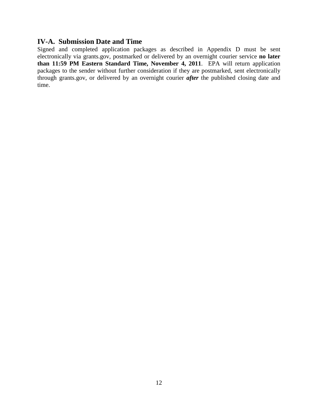#### **IV-A. Submission Date and Time**

Signed and completed application packages as described in Appendix D must be sent electronically via grants.gov, postmarked or delivered by an overnight courier service **no later than 11:59 PM Eastern Standard Time, November 4, 2011**. EPA will return application packages to the sender without further consideration if they are postmarked, sent electronically through grants.gov, or delivered by an overnight courier *after* the published closing date and time.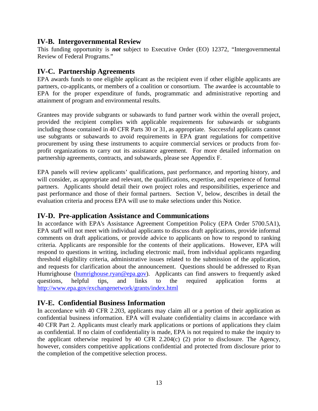#### **IV-B. Intergovernmental Review**

This funding opportunity is *not* subject to Executive Order (EO) 12372, "Intergovernmental Review of Federal Programs."

#### **IV-C. Partnership Agreements**

EPA awards funds to one eligible applicant as the recipient even if other eligible applicants are partners, co-applicants, or members of a coalition or consortium. The awardee is accountable to EPA for the proper expenditure of funds, programmatic and administrative reporting and attainment of program and environmental results.

Grantees may provide subgrants or subawards to fund partner work within the overall project, provided the recipient complies with applicable requirements for subawards or subgrants including those contained in 40 CFR Parts 30 or 31, as appropriate. Successful applicants cannot use subgrants or subawards to avoid requirements in EPA grant regulations for competitive procurement by using these instruments to acquire commercial services or products from forprofit organizations to carry out its assistance agreement. For more detailed information on partnership agreements, contracts, and subawards, please see Appendix F.

EPA panels will review applicants' qualifications, past performance, and reporting history, and will consider, as appropriate and relevant, the qualifications, expertise, and experience of formal partners. Applicants should detail their own project roles and responsibilities, experience and past performance and those of their formal partners. Section V, below, describes in detail the evaluation criteria and process EPA will use to make selections under this Notice.

#### **IV-D. Pre-application Assistance and Communications**

In accordance with EPA's Assistance Agreement Competition Policy (EPA Order 5700.5A1), EPA staff will not meet with individual applicants to discuss draft applications, provide informal comments on draft applications, or provide advice to applicants on how to respond to ranking criteria. Applicants are responsible for the contents of their applications. However, EPA will respond to questions in writing, including electronic mail, from individual applicants regarding threshold eligibility criteria, administrative issues related to the submission of the application, and requests for clarification about the announcement. Questions should be addressed to Ryan Humrighouse [\(humrighouse.ryan@epa.gov\)](mailto:humrighouse.ryan@epa.gov). Applicants can find answers to frequently asked questions, helpful tips, and links to the required application forms at <http://www.epa.gov/exchangenetwork/grants/index.html>

#### **IV-E. Confidential Business Information**

In accordance with 40 CFR 2.203, applicants may claim all or a portion of their application as confidential business information. EPA will evaluate confidentiality claims in accordance with 40 CFR Part 2. Applicants must clearly mark applications or portions of applications they claim as confidential. If no claim of confidentiality is made, EPA is not required to make the inquiry to the applicant otherwise required by 40 CFR 2.204(c) (2) prior to disclosure. The Agency, however, considers competitive applications confidential and protected from disclosure prior to the completion of the competitive selection process.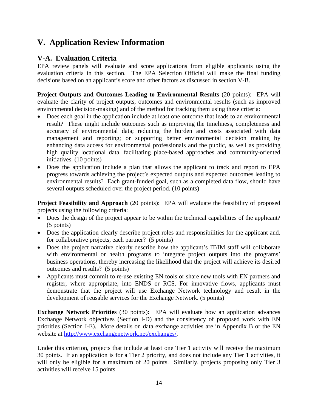## **V. Application Review Information**

## **V-A. Evaluation Criteria**

EPA review panels will evaluate and score applications from eligible applicants using the evaluation criteria in this section. The EPA Selection Official will make the final funding decisions based on an applicant's score and other factors as discussed in section V-B.

**Project Outputs and Outcomes Leading to Environmental Results** (20 points): EPA will evaluate the clarity of project outputs, outcomes and environmental results (such as improved environmental decision-making) and of the method for tracking them using these criteria:

- Does each goal in the application include at least one outcome that leads to an environmental result? These might include outcomes such as improving the timeliness, completeness and accuracy of environmental data; reducing the burden and costs associated with data management and reporting; or supporting better environmental decision making by enhancing data access for environmental professionals and the public, as well as providing high quality locational data, facilitating place-based approaches and community-oriented initiatives. (10 points)
- Does the application include a plan that allows the applicant to track and report to EPA progress towards achieving the project's expected outputs and expected outcomes leading to environmental results? Each grant-funded goal, such as a completed data flow, should have several outputs scheduled over the project period. (10 points)

**Project Feasibility and Approach** (20 points): EPA will evaluate the feasibility of proposed projects using the following criteria:

- Does the design of the project appear to be within the technical capabilities of the applicant? (5 points)
- Does the application clearly describe project roles and responsibilities for the applicant and, for collaborative projects, each partner? (5 points)
- Does the project narrative clearly describe how the applicant's IT/IM staff will collaborate with environmental or health programs to integrate project outputs into the programs' business operations, thereby increasing the likelihood that the project will achieve its desired outcomes and results? (5 points)
- Applicants must commit to re-use existing EN tools or share new tools with EN partners and register, where appropriate, into ENDS or RCS. For innovative flows, applicants must demonstrate that the project will use Exchange Network technology and result in the development of reusable services for the Exchange Network. (5 points)

**Exchange Network Priorities** (30 points)**:** EPA will evaluate how an application advances Exchange Network objectives (Section I-D) and the consistency of proposed work with EN priorities (Section I-E). More details on data exchange activities are in Appendix B or the EN website at [http://www.exchangenetwork.net/exchanges/.](http://www.exchangenetwork.net/exchanges/)

Under this criterion, projects that include at least one Tier 1 activity will receive the maximum 30 points. If an application is for a Tier 2 priority, and does not include any Tier 1 activities, it will only be eligible for a maximum of 20 points. Similarly, projects proposing only Tier 3 activities will receive 15 points.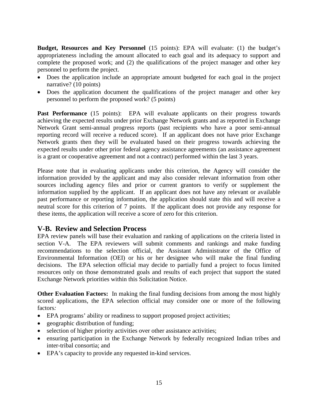**Budget, Resources and Key Personnel** (15 points): EPA will evaluate: (1) the budget's appropriateness including the amount allocated to each goal and its adequacy to support and complete the proposed work; and (2) the qualifications of the project manager and other key personnel to perform the project.

- Does the application include an appropriate amount budgeted for each goal in the project narrative? (10 points)
- Does the application document the qualifications of the project manager and other key personnel to perform the proposed work? (5 points)

**Past Performance** (15 points): EPA will evaluate applicants on their progress towards achieving the expected results under prior Exchange Network grants and as reported in Exchange Network Grant semi-annual progress reports (past recipients who have a poor semi-annual reporting record will receive a reduced score). If an applicant does not have prior Exchange Network grants then they will be evaluated based on their progress towards achieving the expected results under other prior federal agency assistance agreements (an assistance agreement is a grant or cooperative agreement and not a contract) performed within the last 3 years.

Please note that in evaluating applicants under this criterion, the Agency will consider the information provided by the applicant and may also consider relevant information from other sources including agency files and prior or current grantors to verify or supplement the information supplied by the applicant. If an applicant does not have any relevant or available past performance or reporting information, the application should state this and will receive a neutral score for this criterion of 7 points. If the applicant does not provide any response for these items, the application will receive a score of zero for this criterion.

#### **V-B. Review and Selection Process**

EPA review panels will base their evaluation and ranking of applications on the criteria listed in section V-A. The EPA reviewers will submit comments and rankings and make funding recommendations to the selection official, the Assistant Administrator of the Office of Environmental Information (OEI) or his or her designee who will make the final funding decisions. The EPA selection official may decide to partially fund a project to focus limited resources only on those demonstrated goals and results of each project that support the stated Exchange Network priorities within this Solicitation Notice.

**Other Evaluation Factors:** In making the final funding decisions from among the most highly scored applications, the EPA selection official may consider one or more of the following factors*:* 

- EPA programs' ability or readiness to support proposed project activities;
- geographic distribution of funding;
- selection of higher priority activities over other assistance activities;
- ensuring participation in the Exchange Network by federally recognized Indian tribes and inter-tribal consortia; and
- EPA's capacity to provide any requested in-kind services.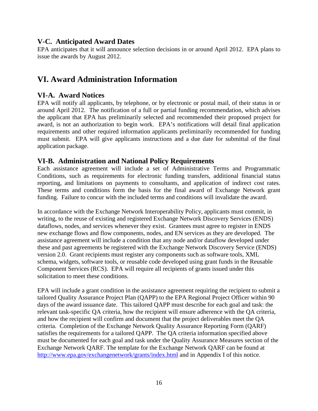#### **V-C. Anticipated Award Dates**

EPA anticipates that it will announce selection decisions in or around April 2012. EPA plans to issue the awards by August 2012.

## **VI. Award Administration Information**

#### **VI-A. Award Notices**

EPA will notify all applicants, by telephone, or by electronic or postal mail, of their status in or around April 2012. The notification of a full or partial funding recommendation, which advises the applicant that EPA has preliminarily selected and recommended their proposed project for award, is not an authorization to begin work. EPA's notifications will detail final application requirements and other required information applicants preliminarily recommended for funding must submit. EPA will give applicants instructions and a due date for submittal of the final application package.

#### **VI-B. Administration and National Policy Requirements**

Each assistance agreement will include a set of Administrative Terms and Programmatic Conditions, such as requirements for electronic funding transfers, additional financial status reporting, and limitations on payments to consultants, and application of indirect cost rates. These terms and conditions form the basis for the final award of Exchange Network grant funding. Failure to concur with the included terms and conditions will invalidate the award.

In accordance with the Exchange Network Interoperability Policy, applicants must commit, in writing, to the reuse of existing and registered Exchange Network Discovery Services (ENDS) dataflows, nodes, and services whenever they exist. Grantees must agree to register in ENDS new exchange flows and flow components, nodes, and EN services as they are developed. The assistance agreement will include a condition that any node and/or dataflow developed under these and past agreements be registered with the Exchange Network Discovery Service (ENDS) version 2.0. Grant recipients must register any components such as software tools, XML schema, widgets, software tools, or reusable code developed using grant funds in the Reusable Component Services (RCS). EPA will require all recipients of grants issued under this solicitation to meet these conditions.

EPA will include a grant condition in the assistance agreement requiring the recipient to submit a tailored Quality Assurance Project Plan (QAPP) to the EPA Regional Project Officer within 90 days of the award issuance date. This tailored QAPP must describe for each goal and task: the relevant task-specific QA criteria, how the recipient will ensure adherence with the QA criteria, and how the recipient will confirm and document that the project deliverables meet the QA criteria. Completion of the Exchange Network Quality Assurance Reporting Form (QARF) satisfies the requirements for a tailored QAPP. The QA criteria information specified above must be documented for each goal and task under the Quality Assurance Measures section of the Exchange Network QARF. The template for the Exchange Network QARF can be found at <http://www.epa.gov/exchangenetwork/grants/index.html> and in Appendix I of this notice.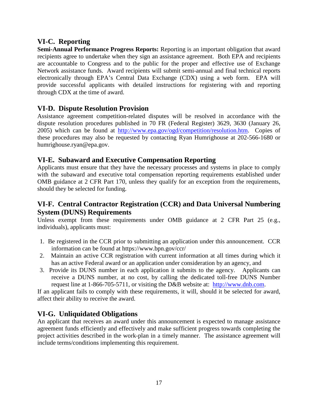#### **VI-C. Reporting**

**Semi-Annual Performance Progress Reports:** Reporting is an important obligation that award recipients agree to undertake when they sign an assistance agreement. Both EPA and recipients are accountable to Congress and to the public for the proper and effective use of Exchange Network assistance funds. Award recipients will submit semi-annual and final technical reports electronically through EPA's Central Data Exchange (CDX) using a web form. EPA will provide successful applicants with detailed instructions for registering with and reporting through CDX at the time of award.

#### **VI-D. Dispute Resolution Provision**

Assistance agreement competition-related disputes will be resolved in accordance with the dispute resolution procedures published in 70 FR (Federal Register) 3629, 3630 (January 26, 2005) which can be found at [http://www.epa.gov/ogd/competition/resolution.htm.](http://www.epa.gov/ogd/competition/resolution.htm) Copies of these procedures may also be requested by contacting Ryan Humrighouse at 202-566-1680 or humrighouse.ryan@epa.gov.

#### **VI-E. Subaward and Executive Compensation Reporting**

Applicants must ensure that they have the necessary processes and systems in place to comply with the subaward and executive total compensation reporting requirements established under OMB guidance at 2 CFR Part 170, unless they qualify for an exception from the requirements, should they be selected for funding.

#### **VI-F. Central Contractor Registration (CCR) and Data Universal Numbering System (DUNS) Requirements**

Unless exempt from these requirements under OMB guidance at 2 CFR Part 25 (e.g., individuals), applicants must:

- 1. Be registered in the CCR prior to submitting an application under this announcement. CCR information can be found at https://www.bpn.gov/ccr/
- 2. Maintain an active CCR registration with current information at all times during which it has an active Federal award or an application under consideration by an agency, and
- 3. Provide its DUNS number in each application it submits to the agency. Applicants can receive a DUNS number, at no cost, by calling the dedicated toll-free DUNS Number request line at 1-866-705-5711, or visiting the D&B website at: [http://www.dnb.com.](http://www.dnb.com/)

If an applicant fails to comply with these requirements, it will, should it be selected for award, affect their ability to receive the award.

#### **VI-G. Unliquidated Obligations**

An applicant that receives an award under this announcement is expected to manage assistance agreement funds efficiently and effectively and make sufficient progress towards completing the project activities described in the work-plan in a timely manner. The assistance agreement will include terms/conditions implementing this requirement.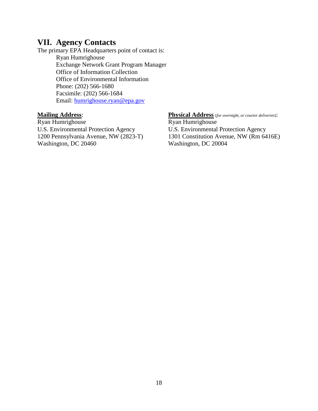## **VII. Agency Contacts**

The primary EPA Headquarters point of contact is: Ryan Humrighouse Exchange Network Grant Program Manager Office of Information Collection Office of Environmental Information Phone: (202) 566-1680 Facsimile: (202) 566-1684 Email: [humrighouse.ryan@epa.gov](mailto:moser.rebecca@epa.gov) 

Ryan Humrighouse U.S. Environmental Protection Agency U.S. Environmental Protection Agency 1200 Pennsylvania Avenue, NW (2823-T) 1301 Constitution Avenue, NW (Rm 6416E) Washington, DC 20460

# **Mailing Address**: **Physical Address** (*for overnight, or courier deliveries*):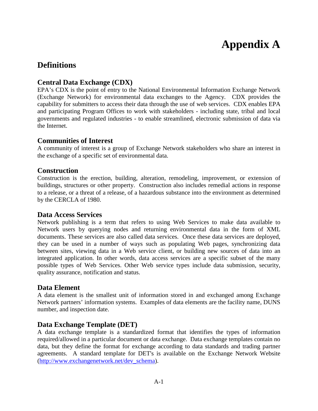# **Appendix A**

## **Definitions**

#### **Central Data Exchange (CDX)**

EPA's CDX is the point of entry to the National Environmental Information Exchange Network (Exchange Network) for environmental data exchanges to the Agency. CDX provides the capability for submitters to access their data through the use of web services. CDX enables EPA and participating Program Offices to work with stakeholders - including state, tribal and local governments and regulated industries - to enable streamlined, electronic submission of data via the Internet.

#### **Communities of Interest**

A community of interest is a group of Exchange Network stakeholders who share an interest in the exchange of a specific set of environmental data.

#### **Construction**

Construction is the erection, building, alteration, remodeling, improvement, or extension of buildings, structures or other property. Construction also includes remedial actions in response to a release, or a threat of a release, of a hazardous substance into the environment as determined by the CERCLA of 1980.

#### **Data Access Services**

Network publishing is a term that refers to using Web Services to make data available to Network users by querying nodes and returning environmental data in the form of XML documents. These services are also called data services. Once these data services are deployed, they can be used in a number of ways such as populating Web pages, synchronizing data between sites, viewing data in a Web service client, or building new sources of data into an integrated application. In other words, data access services are a specific subset of the many possible types of Web Services. Other Web service types include data submission, security, quality assurance, notification and status.

#### **Data Element**

A data element is the smallest unit of information stored in and exchanged among Exchange Network partners' information systems. Examples of data elements are the facility name, DUNS number, and inspection date.

#### **Data Exchange Template (DET)**

A data exchange template is a standardized format that identifies the types of information required/allowed in a particular document or data exchange. Data exchange templates contain no data, but they define the format for exchange according to data standards and trading partner agreements. A standard template for DET's is available on the Exchange Network Website [\(http://www.exchangenetwork.net/dev\\_schema\)](http://www.exchangenetwork.net/dev_schema).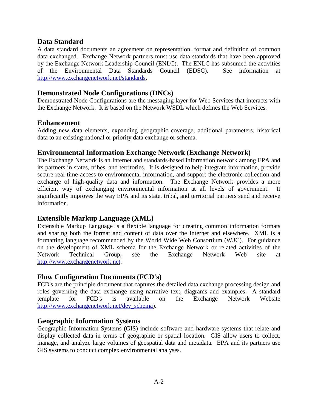#### **Data Standard**

A data standard documents an agreement on representation, format and definition of common data exchanged. Exchange Network partners must use data standards that have been approved by the Exchange Network Leadership Council (ENLC). The ENLC has subsumed the activities of the Environmental Data Standards Council (EDSC). See information at [http://www.exchangenetwork.net/standards.](http://www.exchangenetwork.net/standards)

#### **Demonstrated Node Configurations (DNCs)**

Demonstrated Node Configurations are the messaging layer for Web Services that interacts with the Exchange Network. It is based on the Network WSDL which defines the Web Services.

#### **Enhancement**

Adding new data elements, expanding geographic coverage, additional parameters, historical data to an existing national or priority data exchange or schema.

#### **Environmental Information Exchange Network (Exchange Network)**

The Exchange Network is an Internet and standards-based information network among EPA and its partners in states, tribes, and territories. It is designed to help integrate information, provide secure real-time access to environmental information, and support the electronic collection and exchange of high-quality data and information. The Exchange Network provides a more efficient way of exchanging environmental information at all levels of government. It significantly improves the way EPA and its state, tribal, and territorial partners send and receive information.

#### **Extensible Markup Language (XML)**

Extensible Markup Language is a flexible language for creating common information formats and sharing both the format and content of data over the Internet and elsewhere. XML is a formatting language recommended by the World Wide Web Consortium (W3C). For guidance on the development of XML schema for the Exchange Network or related activities of the Network Technical Group, see the Exchange Network Web site at [http://www.exchangenetwork.net.](http://www.exchangenetwork.net/)

#### **Flow Configuration Documents (FCD's)**

FCD's are the principle document that captures the detailed data exchange processing design and roles governing the data exchange using narrative text, diagrams and examples. A standard template for FCD's is available on the Exchange Network Website [http://www.exchangenetwork.net/dev\\_schema\)](http://www.exchangenetwork.net/dev_schema).

#### **Geographic Information Systems**

Geographic Information Systems (GIS) include software and hardware systems that relate and display collected data in terms of geographic or spatial location. GIS allow users to collect, manage, and analyze large volumes of geospatial data and metadata. EPA and its partners use GIS systems to conduct complex environmental analyses.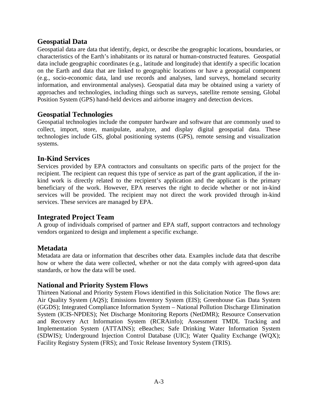#### **Geospatial Data**

Geospatial data are data that identify, depict, or describe the geographic locations, boundaries, or characteristics of the Earth's inhabitants or its natural or human-constructed features. Geospatial data include geographic coordinates (e.g., latitude and longitude) that identify a specific location on the Earth and data that are linked to geographic locations or have a geospatial component (e.g., socio-economic data, land use records and analyses, land surveys, homeland security information, and environmental analyses). Geospatial data may be obtained using a variety of approaches and technologies, including things such as surveys, satellite remote sensing, Global Position System (GPS) hand-held devices and airborne imagery and detection devices.

#### **Geospatial Technologies**

Geospatial technologies include the computer hardware and software that are commonly used to collect, import, store, manipulate, analyze, and display digital geospatial data. These technologies include GIS, global positioning systems (GPS), remote sensing and visualization systems.

#### **In-Kind Services**

Services provided by EPA contractors and consultants on specific parts of the project for the recipient. The recipient can request this type of service as part of the grant application, if the inkind work is directly related to the recipient's application and the applicant is the primary beneficiary of the work. However, EPA reserves the right to decide whether or not in-kind services will be provided. The recipient may not direct the work provided through in-kind services. These services are managed by EPA.

#### **Integrated Project Team**

A group of individuals comprised of partner and EPA staff, support contractors and technology vendors organized to design and implement a specific exchange.

#### **Metadata**

Metadata are data or information that describes other data. Examples include data that describe how or where the data were collected, whether or not the data comply with agreed-upon data standards, or how the data will be used.

#### **National and Priority System Flows**

Thirteen National and Priority System Flows identified in this Solicitation Notice The flows are: Air Quality System (AQS); Emissions Inventory System (EIS); Greenhouse Gas Data System (GGDS); Integrated Compliance Information System – National Pollution Discharge Elimination System (ICIS-NPDES); Net Discharge Monitoring Reports (NetDMR); Resource Conservation and Recovery Act Information System (RCRAinfo); Assessment TMDL Tracking and Implementation System (ATTAINS); eBeaches; Safe Drinking Water Information System (SDWIS); Underground Injection Control Database (UIC); Water Quality Exchange (WQX); Facility Registry System (FRS); and Toxic Release Inventory System (TRIS).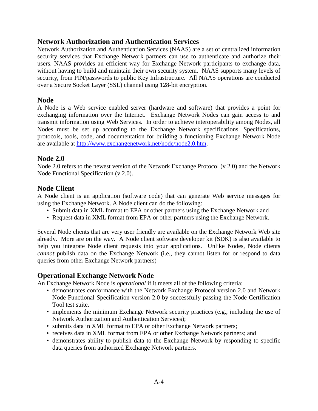#### **Network Authorization and Authentication Services**

Network Authorization and Authentication Services (NAAS) are a set of centralized information security services that Exchange Network partners can use to authenticate and authorize their users. NAAS provides an efficient way for Exchange Network participants to exchange data, without having to build and maintain their own security system. NAAS supports many levels of security, from PIN/passwords to public Key Infrastructure. All NAAS operations are conducted over a Secure Socket Layer (SSL) channel using 128-bit encryption.

#### **Node**

A Node is a Web service enabled server (hardware and software) that provides a point for exchanging information over the Internet. Exchange Network Nodes can gain access to and transmit information using Web Services. In order to achieve interoperability among Nodes, all Nodes must be set up according to the Exchange Network specifications. Specifications, protocols, tools, code, and documentation for building a functioning Exchange Network Node are available at [http://www.exchangenetwork.net/node/node2.0.htm.](http://www.exchangenetwork.net/node/node2.0.htm)

#### **Node 2.0**

Node 2.0 refers to the newest version of the Network Exchange Protocol (v 2.0) and the Network Node Functional Specification (v 2.0).

#### **Node Client**

A Node client is an application (software code) that can generate Web service messages for using the Exchange Network. A Node client can do the following:

- Submit data in XML format to EPA or other partners using the Exchange Network and
- Request data in XML format from EPA or other partners using the Exchange Network.

Several Node clients that are very user friendly are available on the Exchange Network Web site already. More are on the way. A Node client software developer kit (SDK) is also available to help you integrate Node client requests into your applications. Unlike Nodes, Node clients *cannot* publish data on the Exchange Network (i.e., they cannot listen for or respond to data queries from other Exchange Network partners)

#### **Operational Exchange Network Node**

An Exchange Network Node is *operational* if it meets all of the following criteria:

- demonstrates conformance with the Network Exchange Protocol version 2.0 and Network Node Functional Specification version 2.0 by successfully passing the Node Certification Tool test suite.
- implements the minimum Exchange Network security practices (e.g., including the use of Network Authorization and Authentication Services);
- submits data in XML format to EPA or other Exchange Network partners;
- receives data in XML format from EPA or other Exchange Network partners; and
- demonstrates ability to publish data to the Exchange Network by responding to specific data queries from authorized Exchange Network partners.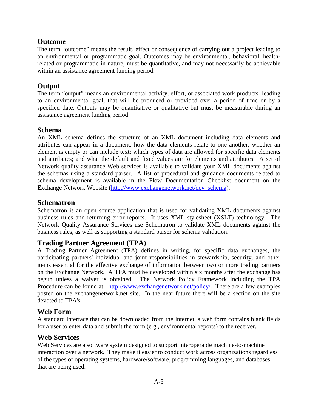#### **Outcome**

The term "outcome" means the result, effect or consequence of carrying out a project leading to an environmental or programmatic goal. Outcomes may be environmental, behavioral, healthrelated or programmatic in nature, must be quantitative, and may not necessarily be achievable within an assistance agreement funding period.

#### **Output**

The term "output" means an environmental activity, effort, or associated work products leading to an environmental goal, that will be produced or provided over a period of time or by a specified date. Outputs may be quantitative or qualitative but must be measurable during an assistance agreement funding period.

#### **Schema**

An XML schema defines the structure of an XML document including data elements and attributes can appear in a document; how the data elements relate to one another; whether an element is empty or can include text; which types of data are allowed for specific data elements and attributes; and what the default and fixed values are for elements and attributes. A set of Network quality assurance Web services is available to validate your XML documents against the schemas using a standard parser. A list of procedural and guidance documents related to schema development is available in the Flow Documentation Checklist document on the Exchange Network Website [\(http://www.exchangenetwork.net/dev\\_schema\)](http://www.exchangenetwork.net/dev_schema).

#### **Schematron**

Schematron is an open source application that is used for validating XML documents against business rules and returning error reports. It uses XML stylesheet (XSLT) technology. The Network Quality Assurance Services use Schematron to validate XML documents against the business rules, as well as supporting a standard parser for schema validation.

#### **Trading Partner Agreement (TPA)**

A Trading Partner Agreement (TPA) defines in writing, for specific data exchanges, the participating partners' individual and joint responsibilities in stewardship, security, and other items essential for the effective exchange of information between two or more trading partners on the Exchange Network. A TPA must be developed within six months after the exchange has begun unless a waiver is obtained. The Network Policy Framework including the TPA Procedure can be found at: [http://www.exchangenetwork.net/policy/.](http://www.exchangenetwork.net/policy/) There are a few examples posted on the exchangenetwork.net site. In the near future there will be a section on the site devoted to TPA's.

#### **Web Form**

A standard interface that can be downloaded from the Internet, a web form contains blank fields for a user to enter data and submit the form (e.g., environmental reports) to the receiver.

#### **Web Services**

Web Services are a software system designed to support interoperable machine-to-machine interaction over a network. They make it easier to conduct work across organizations regardless of the types of operating systems, hardware/software, programming languages, and databases that are being used.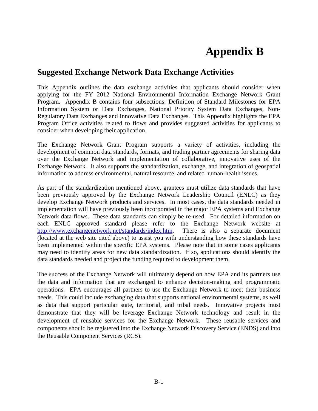# **Appendix B**

## **Suggested Exchange Network Data Exchange Activities**

This Appendix outlines the data exchange activities that applicants should consider when applying for the FY 2012 National Environmental Information Exchange Network Grant Program. Appendix B contains four subsections: Definition of Standard Milestones for EPA Information System or Data Exchanges, National Priority System Data Exchanges, Non-Regulatory Data Exchanges and Innovative Data Exchanges. This Appendix highlights the EPA Program Office activities related to flows and provides suggested activities for applicants to consider when developing their application.

The Exchange Network Grant Program supports a variety of activities, including the development of common data standards, formats, and trading partner agreements for sharing data over the Exchange Network and implementation of collaborative, innovative uses of the Exchange Network. It also supports the standardization, exchange, and integration of geospatial information to address environmental, natural resource, and related human-health issues.

As part of the standardization mentioned above, grantees must utilize data standards that have been previously approved by the Exchange Network Leadership Council (ENLC) as they develop Exchange Network products and services. In most cases, the data standards needed in implementation will have previously been incorporated in the major EPA systems and Exchange Network data flows. These data standards can simply be re-used. For detailed information on each ENLC approved standard please refer to the Exchange Network website at [http://www.exchangenetwork.net/standards/index.htm.](http://www.exchangenetwork.net/standards/index.htm) There is also a separate document (located at the web site cited above) to assist you with understanding how these standards have been implemented within the specific EPA systems. Please note that in some cases applicants may need to identify areas for new data standardization. If so, applications should identify the data standards needed and project the funding required to development them.

The success of the Exchange Network will ultimately depend on how EPA and its partners use the data and information that are exchanged to enhance decision-making and programmatic operations. EPA encourages all partners to use the Exchange Network to meet their business needs. This could include exchanging data that supports national environmental systems, as well as data that support particular state, territorial, and tribal needs. Innovative projects must demonstrate that they will be leverage Exchange Network technology and result in the development of reusable services for the Exchange Network. These reusable services and components should be registered into the Exchange Network Discovery Service (ENDS) and into the Reusable Component Services (RCS).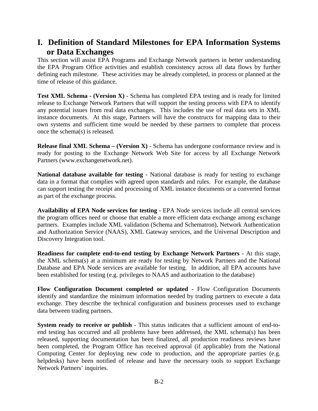## **I. Definition of Standard Milestones for EPA Information Systems or Data Exchanges**

This section will assist EPA Programs and Exchange Network partners in better understanding the EPA Program Office activities and establish consistency across all data flows by further defining each milestone. These activities may be already completed, in process or planned at the time of release of this guidance.

**Test XML Schema - (Version X)** - Schema has completed EPA testing and is ready for limited release to Exchange Network Partners that will support the testing process with EPA to identify any potential issues from real data exchanges. This includes the use of real data sets in XML instance documents. At this stage, Partners will have the constructs for mapping data to their own systems and sufficient time would be needed by these partners to complete that process once the schema(s) is released.

**Release final XML Schema – (Version X)** - Schema has undergone conformance review and is ready for posting to the Exchange Network Web Site for access by all Exchange Network Partners (www.exchangenetwork.net).

**National database available for testing** - National database is ready for testing to exchange data in a format that complies with agreed upon standards and rules. For example, the database can support testing the receipt and processing of XML instance documents or a converted format as part of the exchange process.

**Availability of EPA Node services for testing** - EPA Node services include all central services the program offices need or choose that enable a more efficient data exchange among exchange partners. Examples include XML validation (Schema and Schematron), Network Authentication and Authorization Service (NAAS), XML Gateway services, and the Universal Description and Discovery Integration tool.

**Readiness for complete end-to-end testing by Exchange Network Partners** - At this stage, the XML schema(s) at a minimum are ready for testing by Network Partners and the National Database and EPA Node services are available for testing. In addition, all EPA accounts have been established for testing (e.g. privileges to NAAS and authorization to the database)

**Flow Configuration Document completed or updated -** Flow Configuration Documents identify and standardize the minimum information needed by trading partners to execute a data exchange. They describe the technical configuration and business processes used to exchange data between trading partners.

**System ready to receive or publish** - This status indicates that a sufficient amount of end-toend testing has occurred and all problems have been addressed, the XML schema(s) has been released, supporting documentation has been finalized, all production readiness reviews have been completed, the Program Office has received approval (if applicable) from the National Computing Center for deploying new code to production, and the appropriate parties (e.g. helpdesks) have been notified of release and have the necessary tools to support Exchange Network Partners' inquiries.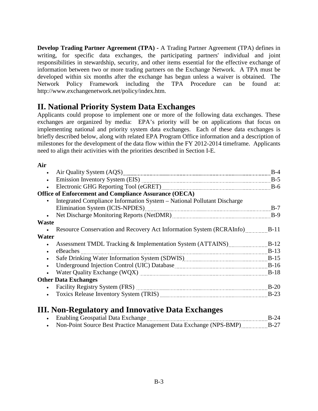**Develop Trading Partner Agreement (TPA) -** A Trading Partner Agreement (TPA) defines in writing, for specific data exchanges, the participating partners' individual and joint responsibilities in stewardship, security, and other items essential for the effective exchange of information between two or more trading partners on the Exchange Network. A TPA must be developed within six months after the exchange has begun unless a waiver is obtained. The Network Policy Framework including the TPA Procedure can be found at: http://www.exchangenetwork.net/policy/index.htm.

## **II. National Priority System Data Exchanges**

Applicants could propose to implement one or more of the following data exchanges. These exchanges are organized by media: EPA's priority will be on applications that focus on implementing national and priority system data exchanges. Each of these data exchanges is briefly described below, along with related EPA Program Office information and a description of milestones for the development of the data flow within the FY 2012-2014 timeframe. Applicants need to align their activities with the priorities described in Section I-E.

#### **Air**

|                                                                                                                                                                                                                                             | $B-4$  |
|---------------------------------------------------------------------------------------------------------------------------------------------------------------------------------------------------------------------------------------------|--------|
| $\bullet$                                                                                                                                                                                                                                   |        |
| Electronic GHG Reporting Tool (eGRET) [11] Marshall Reporting Tool (eGRET) [11] Marshall Reporting Tool (eGRET) [11] Marshall Reporting Tool (eGRET) [11] Marshall Reporting Tool (eGRET) [11] Marshall Reporting Tool (eGRET)<br>$\bullet$ |        |
| Office of Enforcement and Compliance Assurance (OECA)                                                                                                                                                                                       |        |
| Integrated Compliance Information System – National Pollutant Discharge                                                                                                                                                                     |        |
|                                                                                                                                                                                                                                             | $B-7$  |
| $\bullet$                                                                                                                                                                                                                                   |        |
| <b>Waste</b>                                                                                                                                                                                                                                |        |
| Resource Conservation and Recovery Act Information System (RCRAInfo) B-11                                                                                                                                                                   |        |
| Water                                                                                                                                                                                                                                       |        |
| Assessment TMDL Tracking & Implementation System (ATTAINS)<br>$\bullet$                                                                                                                                                                     | $B-12$ |
| eBeaches<br>$\bullet$                                                                                                                                                                                                                       | $B-13$ |
| $\bullet$                                                                                                                                                                                                                                   |        |
| Underground Injection Control (UIC) Database Manuscritting and B-16                                                                                                                                                                         |        |
|                                                                                                                                                                                                                                             | $B-18$ |
| <b>Other Data Exchanges</b>                                                                                                                                                                                                                 |        |
|                                                                                                                                                                                                                                             | $B-20$ |
| Toxics Release Inventory System (TRIS) [1982] [2012] Toxics Release Inventory System (TRIS) [1983] [2013] [2013] [2013] [2014] [2014] [2014] [2014] [2014] [2014] [2014] [2014] [2014] [2014] [2014] [2014] [2014] [2014] [201<br>$\bullet$ | $B-23$ |
|                                                                                                                                                                                                                                             |        |

## **III. Non-Regulatory and Innovative Data Exchanges**

|                                                                     | $B-24$ |
|---------------------------------------------------------------------|--------|
| Non-Point Source Best Practice Management Data Exchange (NPS-BMP) B | $B-27$ |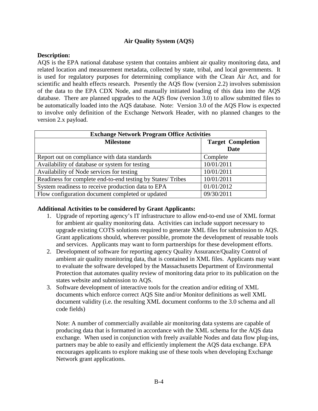#### **Air Quality System (AQS)**

#### **Description:**

AQS is the EPA national database system that contains ambient air quality monitoring data, and related location and measurement metadata, collected by state, tribal, and local governments. It is used for regulatory purposes for determining compliance with the Clean Air Act, and for scientific and health effects research. Presently the AQS flow (version 2.2) involves submission of the data to the EPA CDX Node, and manually initiated loading of this data into the AQS database. There are planned upgrades to the AQS flow (version 3.0) to allow submitted files to be automatically loaded into the AQS database. Note: Version 3.0 of the AQS Flow is expected to involve only definition of the Exchange Network Header, with no planned changes to the version 2.x payload.

| <b>Exchange Network Program Office Activities</b>           |                          |  |
|-------------------------------------------------------------|--------------------------|--|
| <b>Milestone</b>                                            | <b>Target Completion</b> |  |
|                                                             | Date                     |  |
| Report out on compliance with data standards                | Complete                 |  |
| Availability of database or system for testing              | 10/01/2011               |  |
| Availability of Node services for testing                   | 10/01/2011               |  |
| Readiness for complete end-to-end testing by States/ Tribes | 10/01/2011               |  |
| System readiness to receive production data to EPA          | 01/01/2012               |  |
| Flow configuration document completed or updated            | 09/30/2011               |  |

#### **Additional Activities to be considered by Grant Applicants:**

- 1. Upgrade of reporting agency's IT infrastructure to allow end-to-end use of XML format for ambient air quality monitoring data. Activities can include support necessary to upgrade existing COTS solutions required to generate XML files for submission to AQS. Grant applications should, wherever possible, promote the development of reusable tools and services. Applicants may want to form partnerships for these development efforts.
- 2. Development of software for reporting agency Quality Assurance/Quality Control of ambient air quality monitoring data, that is contained in XML files. Applicants may want to evaluate the software developed by the Massachusetts Department of Environmental Protection that automates quality review of monitoring data prior to its publication on the states website and submission to AQS.
- 3. Software development of interactive tools for the creation and/or editing of XML documents which enforce correct AQS Site and/or Monitor definitions as well XML document validity (i.e. the resulting XML document conforms to the 3.0 schema and all code fields)

Note: A number of commercially available air monitoring data systems are capable of producing data that is formatted in accordance with the XML schema for the AQS data exchange. When used in conjunction with freely available Nodes and data flow plug-ins, partners may be able to easily and efficiently implement the AQS data exchange. EPA encourages applicants to explore making use of these tools when developing Exchange Network grant applications.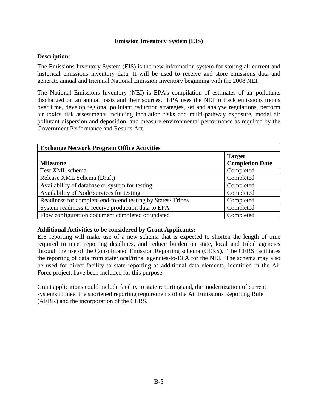#### **Emission Inventory System (EIS)**

#### **Description:**

The Emissions Inventory System (EIS) is the new information system for storing all current and historical emissions inventory data. It will be used to receive and store emissions data and generate annual and triennial National Emission Inventory beginning with the 2008 NEI.

The National Emissions Inventory (NEI) is EPA's compilation of estimates of air pollutants discharged on an annual basis and their sources. EPA uses the NEI to track emissions trends over time, develop regional pollutant reduction strategies, set and analyze regulations, perform air toxics risk assessments including inhalation risks and multi-pathway exposure, model air pollutant dispersion and deposition, and measure environmental performance as required by the Government Performance and Results Act.

| <b>Exchange Network Program Office Activities</b>           |                        |  |
|-------------------------------------------------------------|------------------------|--|
|                                                             | <b>Target</b>          |  |
| <b>Milestone</b>                                            | <b>Completion Date</b> |  |
| Test XML schema                                             | Completed              |  |
| Release XML Schema (Draft)                                  | Completed              |  |
| Availability of database or system for testing              | Completed              |  |
| Availability of Node services for testing                   | Completed              |  |
| Readiness for complete end-to-end testing by States/ Tribes | Completed              |  |
| System readiness to receive production data to EPA          | Completed              |  |
| Flow configuration document completed or updated            | Completed              |  |

#### **Additional Activities to be considered by Grant Applicants:**

EIS reporting will make use of a new schema that is expected to shorten the length of time required to meet reporting deadlines, and reduce burden on state, local and tribal agencies through the use of the Consolidated Emission Reporting schema (CERS). The CERS facilitates the reporting of data from state/local/tribal agencies-to-EPA for the NEI. The schema may also be used for direct facility to state reporting as additional data elements, identified in the Air Force project, have been included for this purpose.

Grant applications could include facility to state reporting and, the modernization of current systems to meet the shortened reporting requirements of the Air Emissions Reporting Rule (AERR) and the incorporation of the CERS.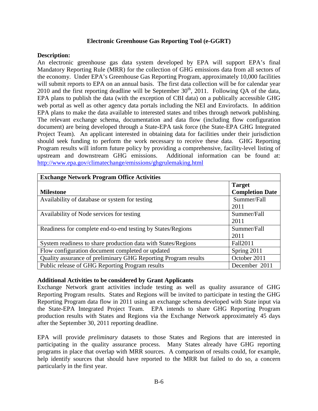#### **Electronic Greenhouse Gas Reporting Tool (e-GGRT)**

#### **Description:**

An electronic greenhouse gas data system developed by EPA will support EPA's final Mandatory Reporting Rule (MRR) for the collection of GHG emissions data from all sectors of the economy. Under EPA's Greenhouse Gas Reporting Program, approximately 10,000 facilities will submit reports to EPA on an annual basis. The first data collection will be for calendar year 2010 and the first reporting deadline will be September  $30<sup>th</sup>$ , 2011. Following QA of the data, EPA plans to publish the data (with the exception of CBI data) on a publically accessible GHG web portal as well as other agency data portals including the NEI and Envirofacts. In addition EPA plans to make the data available to interested states and tribes through network publishing. The relevant exchange schema, documentation and data flow (including flow configuration document) are being developed through a State-EPA task force (the State-EPA GHG Integrated Project Team). An applicant interested in obtaining data for facilities under their jurisdiction should seek funding to perform the work necessary to receive these data. GHG Reporting Program results will inform future policy by providing a comprehensive, facility-level listing of upstream and downstream GHG emissions. Additional information can be found at: http://www.epa.gov/climatechange/emissions/ghgrulemaking.html

| <b>Exchange Network Program Office Activities</b>              |                        |  |
|----------------------------------------------------------------|------------------------|--|
|                                                                | <b>Target</b>          |  |
| <b>Milestone</b>                                               | <b>Completion Date</b> |  |
| Availability of database or system for testing                 | Summer/Fall            |  |
|                                                                | 2011                   |  |
| Availability of Node services for testing                      | Summer/Fall            |  |
|                                                                | 2011                   |  |
| Readiness for complete end-to-end testing by States/Regions    | Summer/Fall            |  |
|                                                                | 2011                   |  |
| System readiness to share production data with States/Regions  | Fall2011               |  |
| Flow configuration document completed or updated               | Spring 2011            |  |
| Quality assurance of preliminary GHG Reporting Program results | October 2011           |  |
| Public release of GHG Reporting Program results                | December 2011          |  |

#### **Additional Activities to be considered by Grant Applicants**

Exchange Network grant activities include testing as well as quality assurance of GHG Reporting Program results. States and Regions will be invited to participate in testing the GHG Reporting Program data flow in 2011 using an exchange schema developed with State input via the State-EPA Integrated Project Team. EPA intends to share GHG Reporting Program production results with States and Regions via the Exchange Network approximately 45 days after the September 30, 2011 reporting deadline.

EPA will provide *preliminary* datasets to those States and Regions that are interested in participating in the quality assurance process. Many States already have GHG reporting programs in place that overlap with MRR sources. A comparison of results could, for example, help identify sources that should have reported to the MRR but failed to do so, a concern particularly in the first year.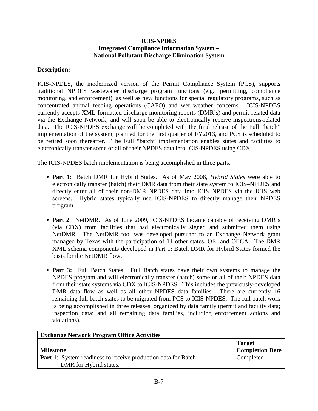#### **ICIS-NPDES Integrated Compliance Information System – National Pollutant Discharge Elimination System**

#### **Description:**

ICIS-NPDES, the modernized version of the Permit Compliance System (PCS), supports traditional NPDES wastewater discharge program functions (e.g., permitting, compliance monitoring, and enforcement), as well as new functions for special regulatory programs, such as concentrated animal feeding operations (CAFO) and wet weather concerns. ICIS-NPDES currently accepts XML-formatted discharge monitoring reports (DMR's) and permit-related data via the Exchange Network, and will soon be able to electronically receive inspections-related data. The ICIS-NPDES exchange will be completed with the final release of the Full "batch" implementation of the system, planned for the first quarter of FY2013, and PCS is scheduled to be retired soon thereafter. The Full "batch" implementation enables states and facilities to electronically transfer some or all of their NPDES data into ICIS-NPDES using CDX.

The ICIS-NPDES batch implementation is being accomplished in three parts:

- **Part 1**: Batch DMR for Hybrid States. As of May 2008, *Hybrid States* were able to electronically transfer (batch) their DMR data from their state system to ICIS–NPDES and directly enter all of their non-DMR NPDES data into ICIS–NPDES via the ICIS web screens. Hybrid states typically use ICIS-NPDES to directly manage their NPDES program.
- **Part 2**: NetDMR. As of June 2009, ICIS-NPDES became capable of receiving DMR's (via CDX) from facilities that had electronically signed and submitted them using NetDMR. The NetDMR tool was developed pursuant to an Exchange Network grant managed by Texas with the participation of 11 other states, OEI and OECA. The DMR XML schema components developed in Part 1: Batch DMR for Hybrid States formed the basis for the NetDMR flow.
- **Part 3:** Full Batch States. Full Batch states have their own systems to manage the NPDES program and will electronically transfer (batch) some or all of their NPDES data from their state systems via CDX to ICIS-NPDES. This includes the previously-developed DMR data flow as well as all other NPDES data families. There are currently 16 remaining full batch states to be migrated from PCS to ICIS-NPDES. The full batch work is being accomplished in three releases, organized by data family (permit and facility data; inspection data; and all remaining data families, including enforcement actions and violations).

| <b>Exchange Network Program Office Activities</b>                    |                        |  |
|----------------------------------------------------------------------|------------------------|--|
|                                                                      | <b>Target</b>          |  |
| <b>Milestone</b>                                                     | <b>Completion Date</b> |  |
| <b>Part 1:</b> System readiness to receive production data for Batch | Completed              |  |
| DMR for Hybrid states.                                               |                        |  |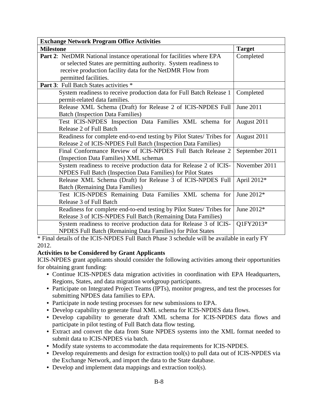| <b>Exchange Network Program Office Activities</b>                            |                |  |
|------------------------------------------------------------------------------|----------------|--|
| <b>Milestone</b>                                                             | <b>Target</b>  |  |
| <b>Part 2:</b> NetDMR National instance operational for facilities where EPA | Completed      |  |
| or selected States are permitting authority. System readiness to             |                |  |
| receive production facility data for the NetDMR Flow from                    |                |  |
| permitted facilities.                                                        |                |  |
| Part 3: Full Batch States activities *                                       |                |  |
| System readiness to receive production data for Full Batch Release 1         | Completed      |  |
| permit-related data families.                                                |                |  |
| Release XML Schema (Draft) for Release 2 of ICIS-NPDES Full                  | June 2011      |  |
| <b>Batch (Inspection Data Families)</b>                                      |                |  |
| Test ICIS-NPDES Inspection Data Families XML schema for                      | August 2011    |  |
| Release 2 of Full Batch                                                      |                |  |
| Readiness for complete end-to-end testing by Pilot States/ Tribes for        | August 2011    |  |
| Release 2 of ICIS-NPDES Full Batch (Inspection Data Families)                |                |  |
| Final Conformance Review of ICIS-NPDES Full Batch Release 2                  | September 2011 |  |
| (Inspection Data Families) XML schemas                                       |                |  |
| System readiness to receive production data for Release 2 of ICIS-           | November 2011  |  |
| NPDES Full Batch (Inspection Data Families) for Pilot States                 |                |  |
| Release XML Schema (Draft) for Release 3 of ICIS-NPDES Full                  | April 2012*    |  |
| <b>Batch (Remaining Data Families)</b>                                       |                |  |
| Test ICIS-NPDES Remaining Data Families XML schema for                       | June 2012*     |  |
| Release 3 of Full Batch                                                      |                |  |
| Readiness for complete end-to-end testing by Pilot States/ Tribes for        | June 2012*     |  |
| Release 3 of ICIS-NPDES Full Batch (Remaining Data Families)                 |                |  |
| System readiness to receive production data for Release 3 of ICIS-           | Q1FY2013*      |  |
| NPDES Full Batch (Remaining Data Families) for Pilot States                  |                |  |

\* Final details of the ICIS-NPDES Full Batch Phase 3 schedule will be available in early FY 2012.

#### **Activities to be Considered by Grant Applicants**

ICIS-NPDES grant applicants should consider the following activities among their opportunities for obtaining grant funding:

- Continue ICIS-NPDES data migration activities in coordination with EPA Headquarters, Regions, States, and data migration workgroup participants.
- Participate on Integrated Project Teams (IPTs), monitor progress, and test the processes for submitting NPDES data families to EPA.
- Participate in node testing processes for new submissions to EPA.
- Develop capability to generate final XML schema for ICIS-NPDES data flows.
- Develop capability to generate draft XML schema for ICIS-NPDES data flows and participate in pilot testing of Full Batch data flow testing.
- Extract and convert the data from State NPDES systems into the XML format needed to submit data to ICIS-NPDES via batch.
- Modify state systems to accommodate the data requirements for ICIS-NPDES.
- Develop requirements and design for extraction tool(s) to pull data out of ICIS-NPDES via the Exchange Network, and import the data to the State database.
- Develop and implement data mappings and extraction tool(s).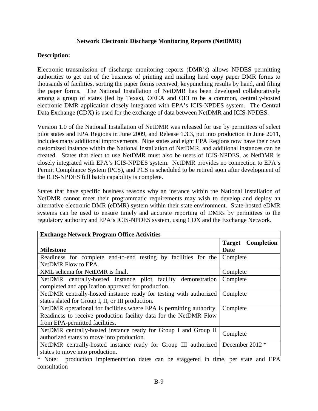#### **Network Electronic Discharge Monitoring Reports (NetDMR)**

#### **Description:**

Electronic transmission of discharge monitoring reports (DMR's) allows NPDES permitting authorities to get out of the business of printing and mailing hard copy paper DMR forms to thousands of facilities, sorting the paper forms received, keypunching results by hand, and filing the paper forms. The National Installation of NetDMR has been developed collaboratively among a group of states (led by Texas), OECA and OEI to be a common, centrally-hosted electronic DMR application closely integrated with EPA's ICIS-NPDES system. The Central Data Exchange (CDX) is used for the exchange of data between NetDMR and ICIS-NPDES.

Version 1.0 of the National Installation of NetDMR was released for use by permittees of select pilot states and EPA Regions in June 2009, and Release 1.3.3, put into production in June 2011, includes many additional improvements. Nine states and eight EPA Regions now have their own customized instance within the National Installation of NetDMR, and additional instances can be created. States that elect to use NetDMR must also be users of ICIS-NPDES, as NetDMR is closely integrated with EPA's ICIS-NPDES system. NetDMR provides no connection to EPA's Permit Compliance System (PCS), and PCS is scheduled to be retired soon after development of the ICIS-NPDES full batch capability is complete.

States that have specific business reasons why an instance within the National Installation of NetDMR cannot meet their programmatic requirements may wish to develop and deploy an alternative electronic DMR (eDMR) system within their state environment. State-hosted eDMR systems can be used to ensure timely and accurate reporting of DMRs by permittees to the regulatory authority and EPA's ICIS-NPDES system, using CDX and the Exchange Network.

| <b>Exchange Network Program Office Activities</b>                                                                                                                           |                                  |  |
|-----------------------------------------------------------------------------------------------------------------------------------------------------------------------------|----------------------------------|--|
| <b>Milestone</b>                                                                                                                                                            | <b>Target Completion</b><br>Date |  |
| Readiness for complete end-to-end testing by facilities for the<br>NetDMR Flow to EPA.                                                                                      | Complete                         |  |
| XML schema for NetDMR is final.                                                                                                                                             | Complete                         |  |
| NetDMR centrally-hosted instance pilot facility demonstration<br>completed and application approved for production.                                                         | Complete                         |  |
| NetDMR centrally-hosted instance ready for testing with authorized<br>states slated for Group I, II, or III production.                                                     | Complete                         |  |
| NetDMR operational for facilities where EPA is permitting authority.<br>Readiness to receive production facility data for the NetDMR Flow<br>from EPA-permitted facilities. | Complete                         |  |
| NetDMR centrally-hosted instance ready for Group I and Group II<br>authorized states to move into production.                                                               | Complete                         |  |
| NetDMR centrally-hosted instance ready for Group III authorized<br>states to move into production.                                                                          | December 2012 $*$                |  |

\* Note: production implementation dates can be staggered in time, per state and EPA consultation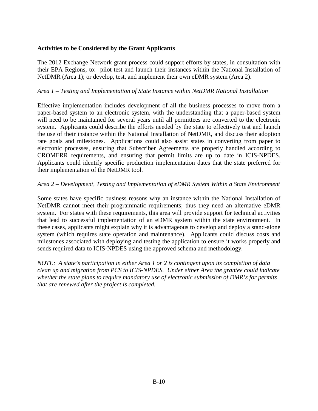#### **Activities to be Considered by the Grant Applicants**

The 2012 Exchange Network grant process could support efforts by states, in consultation with their EPA Regions, to: pilot test and launch their instances within the National Installation of NetDMR (Area 1); or develop, test, and implement their own eDMR system (Area 2).

#### *Area 1 – Testing and Implementation of State Instance within NetDMR National Installation*

Effective implementation includes development of all the business processes to move from a paper-based system to an electronic system, with the understanding that a paper-based system will need to be maintained for several years until all permittees are converted to the electronic system. Applicants could describe the efforts needed by the state to effectively test and launch the use of their instance within the National Installation of NetDMR, and discuss their adoption rate goals and milestones. Applications could also assist states in converting from paper to electronic processes, ensuring that Subscriber Agreements are properly handled according to CROMERR requirements, and ensuring that permit limits are up to date in ICIS-NPDES. Applicants could identify specific production implementation dates that the state preferred for their implementation of the NetDMR tool.

#### *Area 2 – Development, Testing and Implementation of eDMR System Within a State Environment*

Some states have specific business reasons why an instance within the National Installation of NetDMR cannot meet their programmatic requirements; thus they need an alternative eDMR system. For states with these requirements, this area will provide support for technical activities that lead to successful implementation of an eDMR system within the state environment. In these cases, applicants might explain why it is advantageous to develop and deploy a stand-alone system (which requires state operation and maintenance). Applicants could discuss costs and milestones associated with deploying and testing the application to ensure it works properly and sends required data to ICIS-NPDES using the approved schema and methodology.

*NOTE: A state's participation in either Area 1 or 2 is contingent upon its completion of data clean up and migration from PCS to ICIS-NPDES. Under either Area the grantee could indicate whether the state plans to require mandatory use of electronic submission of DMR's for permits that are renewed after the project is completed.*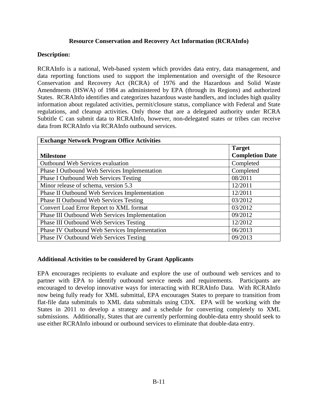#### **Resource Conservation and Recovery Act Information (RCRAInfo)**

#### **Description:**

RCRAInfo is a national, Web-based system which provides data entry, data management, and data reporting functions used to support the implementation and oversight of the Resource Conservation and Recovery Act (RCRA) of 1976 and the Hazardous and Solid Waste Amendments (HSWA) of 1984 as administered by EPA (through its Regions) and authorized States. RCRAInfo identifies and categorizes hazardous waste handlers, and includes high quality information about regulated activities, permit/closure status, compliance with Federal and State regulations, and cleanup activities. Only those that are a delegated authority under RCRA Subtitle C can submit data to RCRAInfo, however, non-delegated states or tribes can receive data from RCRAInfo via RCRAInfo outbound services.

| <b>Exchange Network Program Office Activities</b> |                                         |  |
|---------------------------------------------------|-----------------------------------------|--|
| <b>Milestone</b>                                  | <b>Target</b><br><b>Completion Date</b> |  |
| <b>Outbound Web Services evaluation</b>           | Completed                               |  |
| Phase I Outbound Web Services Implementation      | Completed                               |  |
| <b>Phase I Outbound Web Services Testing</b>      | 08/2011                                 |  |
| Minor release of schema, version 5.3              | 12/2011                                 |  |
| Phase II Outbound Web Services Implementation     | 12/2011                                 |  |
| Phase II Outbound Web Services Testing            | 03/2012                                 |  |
| Convert Load Error Report to XML format           | 03/2012                                 |  |
| Phase III Outbound Web Services Implementation    | 09/2012                                 |  |
| Phase III Outbound Web Services Testing           | 12/2012                                 |  |
| Phase IV Outbound Web Services Implementation     | 06/2013                                 |  |
| <b>Phase IV Outbound Web Services Testing</b>     | 09/2013                                 |  |

#### **Additional Activities to be considered by Grant Applicants**

EPA encourages recipients to evaluate and explore the use of outbound web services and to partner with EPA to identify outbound service needs and requirements. Participants are encouraged to develop innovative ways for interacting with RCRAInfo Data. With RCRAInfo now being fully ready for XML submittal, EPA encourages States to prepare to transition from flat-file data submittals to XML data submittals using CDX. EPA will be working with the States in 2011 to develop a strategy and a schedule for converting completely to XML submissions. Additionally, States that are currently performing double-data entry should seek to use either RCRAInfo inbound or outbound services to eliminate that double-data entry.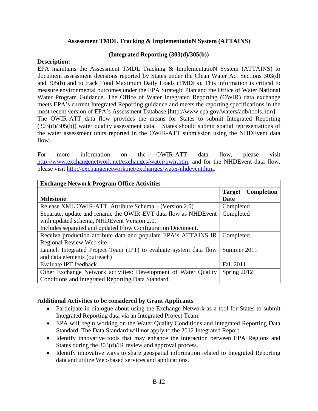#### **Assessment TMDL Tracking & ImplementatioN System (ATTAINS)**

#### **(Integrated Reporting (303(d)/305(b))**

#### **Description:**

EPA maintains the Assessment TMDL Tracking & ImplementatioN System (ATTAINS) to document assessment decisions reported by States under the Clean Water Act Sections 303(d) and 305(b) and to track Total Maximum Daily Loads (TMDLs). This information is critical to measure environmental outcomes under the EPA Strategic Plan and the Office of Water National Water Program Guidance. The Office of Water Integrated Reporting (OWIR) data exchange meets EPA's current Integrated Reporting guidance and meets the reporting specifications in the most recent version of EPA's Assessment Database [http://www.epa.gov/waters/adb/tools.htm] The OWIR-ATT data flow provides the means for States to submit Integrated Reporting (303(d)/305(b)) water quality assessment data. States should submit spatial representations of the water assessment units reported in the OWIR-ATT submission using the NHDEvent data flow.

For more information on the OWIR-ATT data flow, please visit [http://www.exchangenetwork.net/exchanges/water/owir.htm,](http://www.exchangenetwork.net/exchanges/water/owir.htm) and for the NHDEvent data flow, please visit [http://exchangenetwork.net/exchanges/water/nhdevent.htm.](http://exchangenetwork.net/exchanges/water/nhdevent.htm)

| <b>Exchange Network Program Office Activities</b>                 |                             |  |  |
|-------------------------------------------------------------------|-----------------------------|--|--|
|                                                                   | Completion<br><b>Target</b> |  |  |
| <b>Milestone</b>                                                  | Date                        |  |  |
| Release XML OWIR-ATT, Attribute Schema – (Version 2.0)            | Completed                   |  |  |
| Separate, update and rename the OWIR-EVT data flow as NHDEvent    | Completed                   |  |  |
| with updated schema, NHDEvent Version 2.0.                        |                             |  |  |
| Includes separated and updated Flow Configuration Document.       |                             |  |  |
| Receive production attribute data and populate EPA's ATTAINS IR   | Completed                   |  |  |
| Regional Review Web site                                          |                             |  |  |
| Launch Integrated Project Team (IPT) to evaluate system data flow | Summer 2011                 |  |  |
| and data elements (outreach)                                      |                             |  |  |
| Evaluate IPT feedback                                             | Fall 2011                   |  |  |
| Other Exchange Network activities: Development of Water Quality   | Spring 2012                 |  |  |
| Conditions and Integrated Reporting Data Standard.                |                             |  |  |

#### **Additional Activities to be considered by Grant Applicants**

- Participate in dialogue about using the Exchange Network as a tool for States to submit Integrated Reporting data via an Integrated Project Team.
- EPA will begin working on the Water Quality Conditions and Integrated Reporting Data Standard. The Data Standard will not apply to the 2012 Integrated Report.
- Identify innovative tools that may enhance the interaction between EPA Regions and States during the 303(d)/IR review and approval process.
- Identify innovative ways to share geospatial information related to Integrated Reporting data and utilize Web-based services and applications.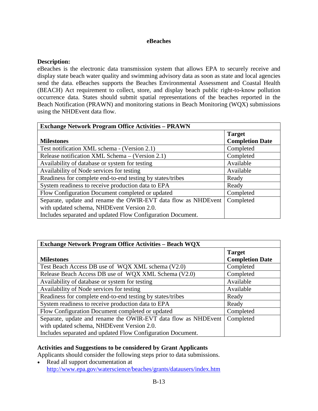#### **eBeaches**

#### **Description:**

eBeaches is the electronic data transmission system that allows EPA to securely receive and display state beach water quality and swimming advisory data as soon as state and local agencies send the data. eBeaches supports the Beaches Environmental Assessment and Coastal Health (BEACH) Act requirement to collect, store, and display beach public right-to-know pollution occurrence data. States should submit spatial representations of the beaches reported in the Beach Notification (PRAWN) and monitoring stations in Beach Monitoring (WQX) submissions using the NHDEvent data flow.

| <b>Exchange Network Program Office Activities - PRAWN</b>      |                        |  |  |
|----------------------------------------------------------------|------------------------|--|--|
|                                                                | <b>Target</b>          |  |  |
| <b>Milestones</b>                                              | <b>Completion Date</b> |  |  |
| Test notification XML schema - (Version 2.1)                   | Completed              |  |  |
| Release notification XML Schema – (Version 2.1)                | Completed              |  |  |
| Availability of database or system for testing                 | Available              |  |  |
| Availability of Node services for testing                      | Available              |  |  |
| Readiness for complete end-to-end testing by states/tribes     | Ready                  |  |  |
| System readiness to receive production data to EPA             | Ready                  |  |  |
| Flow Configuration Document completed or updated               | Completed              |  |  |
| Separate, update and rename the OWIR-EVT data flow as NHDEvent | Completed              |  |  |
| with updated schema, NHDEvent Version 2.0.                     |                        |  |  |
| Includes separated and updated Flow Configuration Document.    |                        |  |  |

| <b>Exchange Network Program Office Activities - Beach WQX</b>  |                        |  |
|----------------------------------------------------------------|------------------------|--|
|                                                                | <b>Target</b>          |  |
| <b>Milestones</b>                                              | <b>Completion Date</b> |  |
| Test Beach Access DB use of WQX XML schema (V2.0)              | Completed              |  |
| Release Beach Access DB use of WQX XML Schema (V2.0)           | Completed              |  |
| Availability of database or system for testing                 | Available              |  |
| Availability of Node services for testing                      | Available              |  |
| Readiness for complete end-to-end testing by states/tribes     | Ready                  |  |
| System readiness to receive production data to EPA             | Ready                  |  |
| Flow Configuration Document completed or updated               | Completed              |  |
| Separate, update and rename the OWIR-EVT data flow as NHDEvent | Completed              |  |
| with updated schema, NHDEvent Version 2.0.                     |                        |  |
| Includes separated and updated Flow Configuration Document.    |                        |  |

#### **Activities and Suggestions to be considered by Grant Applicants**

Applicants should consider the following steps prior to data submissions.

• Read all support documentation at <http://www.epa.gov/waterscience/beaches/grants/datausers/index.htm>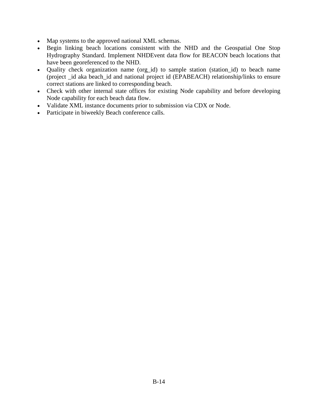- Map systems to the approved national XML schemas.
- Begin linking beach locations consistent with the NHD and the Geospatial One Stop Hydrography Standard. Implement NHDEvent data flow for BEACON beach locations that have been georeferenced to the NHD.
- Quality check organization name (org\_id) to sample station (station\_id) to beach name (project \_id aka beach\_id and national project id (EPABEACH) relationship/links to ensure correct stations are linked to corresponding beach.
- Check with other internal state offices for existing Node capability and before developing Node capability for each beach data flow.
- Validate XML instance documents prior to submission via CDX or Node.
- Participate in biweekly Beach conference calls.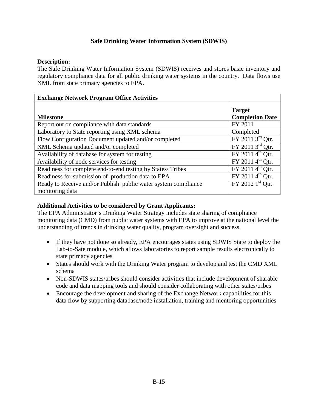#### **Safe Drinking Water Information System (SDWIS)**

#### **Description:**

The Safe Drinking Water Information System (SDWIS) receives and stores basic inventory and regulatory compliance data for all public drinking water systems in the country. Data flows use XML from state primacy agencies to EPA.

| <b>Exchange Network Program Office Activities</b>              |                                         |  |
|----------------------------------------------------------------|-----------------------------------------|--|
| <b>Milestone</b>                                               | <b>Target</b><br><b>Completion Date</b> |  |
| Report out on compliance with data standards                   | FY 2011                                 |  |
| Laboratory to State reporting using XML schema                 | Completed                               |  |
| Flow Configuration Document updated and/or completed           | $FY$ 2011 $3rd$ Qtr.                    |  |
| XML Schema updated and/or completed                            | FY 2011 3rd Otr.                        |  |
| Availability of database for system for testing                | FY 2011 4 <sup>th</sup> Otr.            |  |
| Availability of node services for testing                      | FY 2011 4 <sup>th</sup> Otr.            |  |
| Readiness for complete end-to-end testing by States/ Tribes    | FY 2011 4 <sup>th</sup> Otr.            |  |
| Readiness for submission of production data to EPA             | FY 2011 4 <sup>th</sup> Otr.            |  |
| Ready to Receive and/or Publish public water system compliance | FY 2012 1st Qtr.                        |  |
| monitoring data                                                |                                         |  |

#### **Additional Activities to be considered by Grant Applicants:**

The EPA Administrator's Drinking Water Strategy includes state sharing of compliance monitoring data (CMD) from public water systems with EPA to improve at the national level the understanding of trends in drinking water quality, program oversight and success.

- If they have not done so already, EPA encourages states using SDWIS State to deploy the Lab-to-Sate module, which allows laboratories to report sample results electronically to state primacy agencies
- States should work with the Drinking Water program to develop and test the CMD XML schema
- Non-SDWIS states/tribes should consider activities that include development of sharable code and data mapping tools and should consider collaborating with other states/tribes
- Encourage the development and sharing of the Exchange Network capabilities for this data flow by supporting database/node installation, training and mentoring opportunities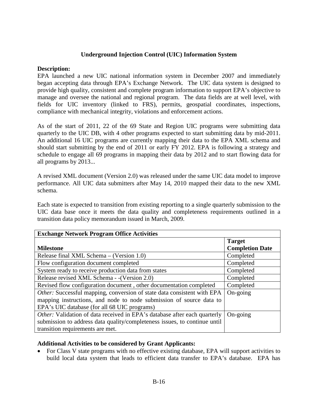#### **Underground Injection Control (UIC) Information System**

#### **Description:**

EPA launched a new UIC national information system in December 2007 and immediately began accepting data through EPA's Exchange Network. The UIC data system is designed to provide high quality, consistent and complete program information to support EPA's objective to manage and oversee the national and regional program. The data fields are at well level, with fields for UIC inventory (linked to FRS), permits, geospatial coordinates, inspections, compliance with mechanical integrity, violations and enforcement actions.

As of the start of 2011, 22 of the 69 State and Region UIC programs were submitting data quarterly to the UIC DB, with 4 other programs expected to start submitting data by mid-2011. An additional 16 UIC programs are currently mapping their data to the EPA XML schema and should start submitting by the end of 2011 or early FY 2012. EPA is following a strategy and schedule to engage all 69 programs in mapping their data by 2012 and to start flowing data for all programs by 2013...

A revised XML document (Version 2.0) was released under the same UIC data model to improve performance. All UIC data submitters after May 14, 2010 mapped their data to the new XML schema.

Each state is expected to transition from existing reporting to a single quarterly submission to the UIC data base once it meets the data quality and completeness requirements outlined in a transition data policy memorandum issued in March, 2009.

| <b>Exchange Network Program Office Activities</b>                         |                        |  |  |
|---------------------------------------------------------------------------|------------------------|--|--|
|                                                                           | <b>Target</b>          |  |  |
| <b>Milestone</b>                                                          | <b>Completion Date</b> |  |  |
| Release final XML Schema - (Version 1.0)                                  | Completed              |  |  |
| Flow configuration document completed                                     | Completed              |  |  |
| System ready to receive production data from states                       | Completed              |  |  |
| Release revised XML Schema - - (Version 2.0)                              | Completed              |  |  |
| Revised flow configuration document, other documentation completed        | Completed              |  |  |
| Other: Successful mapping, conversion of state data consistent with EPA   | $On\text{-going}$      |  |  |
| mapping instructions, and node to node submission of source data to       |                        |  |  |
| EPA's UIC database (for all 68 UIC programs)                              |                        |  |  |
| Other: Validation of data received in EPA's database after each quarterly | $On\text{-going}$      |  |  |
| submission to address data quality/completeness issues, to continue until |                        |  |  |
| transition requirements are met.                                          |                        |  |  |

#### **Additional Activities to be considered by Grant Applicants:**

• For Class V state programs with no effective existing database, EPA will support activities to build local data system that leads to efficient data transfer to EPA's database. EPA has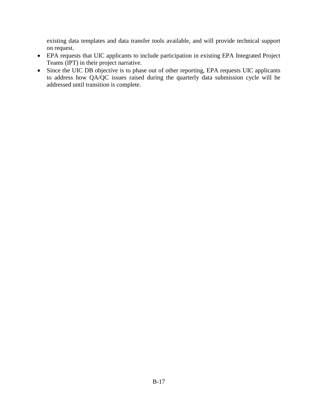existing data templates and data transfer tools available, and will provide technical support on request.

- EPA requests that UIC applicants to include participation in existing EPA Integrated Project Teams (IPT) in their project narrative.
- Since the UIC DB objective is to phase out of other reporting, EPA requests UIC applicants to address how QA/QC issues raised during the quarterly data submission cycle will be addressed until transition is complete.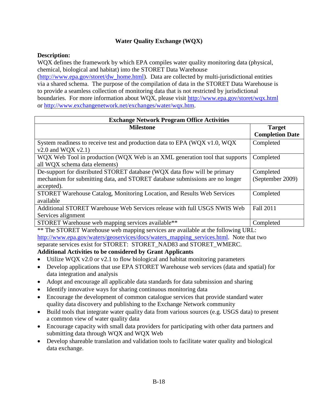#### **Water Quality Exchange (WQX)**

#### **Description:**

WQX defines the framework by which EPA compiles water quality monitoring data (physical, chemical, biological and habitat) into the STORET Data Warehouse [\(http://www.epa.gov/storet/dw\\_home.html\)](http://www.epa.gov/storet/dw_home.html). Data are collected by multi-jurisdictional entities via a shared schema. The purpose of the compilation of data in the STORET Data Warehouse is to provide a seamless collection of monitoring data that is not restricted by jurisdictional boundaries. For more information about WQX, please visit<http://www.epa.gov/storet/wqx.html> or [http://www.exchangenetwork.net/exchanges/water/wqx.htm.](http://www.exchangenetwork.net/exchanges/water/wqx.htm)

| <b>Exchange Network Program Office Activities</b>                                                                                                                       |                                         |  |
|-------------------------------------------------------------------------------------------------------------------------------------------------------------------------|-----------------------------------------|--|
| <b>Milestone</b>                                                                                                                                                        | <b>Target</b><br><b>Completion Date</b> |  |
| System readiness to receive test and production data to EPA (WQX v1.0, WQX)<br>$v2.0$ and WQX $v2.1$ )                                                                  | Completed                               |  |
| WQX Web Tool in production (WQX Web is an XML generation tool that supports<br>all WQX schema data elements)                                                            | Completed                               |  |
| De-support for distributed STORET database (WQX data flow will be primary<br>mechanism for submitting data, and STORET database submissions are no longer<br>accepted). | Completed<br>(September 2009)           |  |
| STORET Warehouse Catalog, Monitoring Location, and Results Web Services<br>available                                                                                    | Completed                               |  |
| Additional STORET Warehouse Web Services release with full USGS NWIS Web<br>Services alignment                                                                          | Fall 2011                               |  |
| STORET Warehouse web mapping services available**                                                                                                                       | Completed                               |  |

\*\* The STORET Warehouse web mapping services are available at the following URL: [http://www.epa.gov/waters/geoservices/docs/waters\\_mapping\\_services.html.](http://www.epa.gov/waters/geoservices/docs/waters_mapping_services.html) Note that two separate services exist for STORET: STORET\_NAD83 and STORET\_WMERC.

**Additional Activities to be considered by Grant Applicants**

- 
- Utilize WQX v2.0 or v2.1 to flow biological and habitat monitoring parameters
- Develop applications that use EPA STORET Warehouse web services (data and spatial) for data integration and analysis
- Adopt and encourage all applicable data standards for data submission and sharing
- Identify innovative ways for sharing continuous monitoring data
- Encourage the development of common catalogue services that provide standard water quality data discovery and publishing to the Exchange Network community
- Build tools that integrate water quality data from various sources (e.g. USGS data) to present a common view of water quality data
- Encourage capacity with small data providers for participating with other data partners and submitting data through WQX and WQX Web
- Develop shareable translation and validation tools to facilitate water quality and biological data exchange.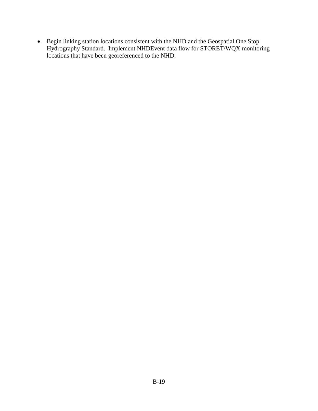• Begin linking station locations consistent with the NHD and the Geospatial One Stop Hydrography Standard. Implement NHDEvent data flow for STORET/WQX monitoring locations that have been georeferenced to the NHD.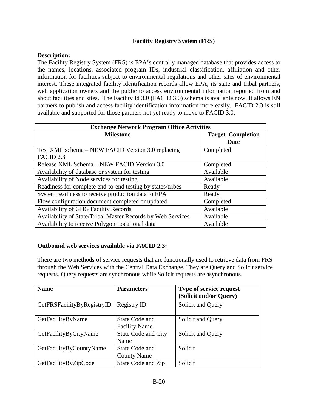#### **Facility Registry System (FRS)**

#### **Description:**

The Facility Registry System (FRS) is EPA's centrally managed database that provides access to the names, locations, associated program IDs, industrial classification, affiliation and other information for facilities subject to environmental regulations and other sites of environmental interest. These integrated facility identification records allow EPA, its state and tribal partners, web application owners and the public to access environmental information reported from and about facilities and sites. The Facility Id 3.0 (FACID 3.0) schema is available now. It allows EN partners to publish and access facility identification information more easily. FACID 2.3 is still available and supported for those partners not yet ready to move to FACID 3.0.

| <b>Exchange Network Program Office Activities</b>           |                          |  |
|-------------------------------------------------------------|--------------------------|--|
| <b>Milestone</b>                                            | <b>Target Completion</b> |  |
|                                                             | Date                     |  |
| Test XML schema – NEW FACID Version 3.0 replacing           | Completed                |  |
| FACID <sub>2.3</sub>                                        |                          |  |
| Release XML Schema – NEW FACID Version 3.0                  | Completed                |  |
| Availability of database or system for testing              | Available                |  |
| Availability of Node services for testing                   | Available                |  |
| Readiness for complete end-to-end testing by states/tribes  | Ready                    |  |
| System readiness to receive production data to EPA          | Ready                    |  |
| Flow configuration document completed or updated            | Completed                |  |
| Availability of GHG Facility Records                        | Available                |  |
| Availability of State/Tribal Master Records by Web Services | Available                |  |
| Availability to receive Polygon Locational data             | Available                |  |

#### **Outbound web services available via FACID 2.3:**

There are two methods of service requests that are functionally used to retrieve data from FRS through the Web Services with the Central Data Exchange. They are Query and Solicit service requests. Query requests are synchronous while Solicit requests are asynchronous.

| <b>Name</b>                | <b>Parameters</b>                      | Type of service request<br>(Solicit and/or Query) |
|----------------------------|----------------------------------------|---------------------------------------------------|
| GetFRSFacilityByRegistryID | Registry ID                            | Solicit and Query                                 |
| GetFacilityByName          | State Code and<br><b>Facility Name</b> | Solicit and Query                                 |
| GetFacilityByCityName      | <b>State Code and City</b><br>Name     | Solicit and Query                                 |
| GetFacilityByCountyName    | State Code and<br><b>County Name</b>   | Solicit                                           |
| GetFacilityByZipCode       | State Code and Zip                     | Solicit                                           |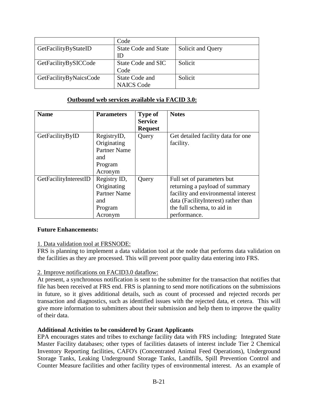|                        | Code                        |                   |
|------------------------|-----------------------------|-------------------|
| GetFacilityByStateID   | <b>State Code and State</b> | Solicit and Query |
|                        | ID                          |                   |
| GetFacilityBySICCode   | State Code and SIC          | Solicit           |
|                        | Code                        |                   |
| GetFacilityByNaicsCode | State Code and              | Solicit           |
|                        | <b>NAICS</b> Code           |                   |

#### **Outbound web services available via FACID 3.0:**

| <b>Name</b>           | <b>Parameters</b>   | <b>Type of</b><br><b>Service</b> | <b>Notes</b>                        |
|-----------------------|---------------------|----------------------------------|-------------------------------------|
|                       |                     | <b>Request</b>                   |                                     |
| GetFacilityByID       | RegistryID,         | Query                            | Get detailed facility data for one  |
|                       | Originating         |                                  | facility.                           |
|                       | <b>Partner Name</b> |                                  |                                     |
|                       | and                 |                                  |                                     |
|                       | Program             |                                  |                                     |
|                       | Acronym             |                                  |                                     |
| GetFacilityInterestID | Registry ID,        | Query                            | Full set of parameters but          |
|                       | Originating         |                                  | returning a payload of summary      |
|                       | <b>Partner Name</b> |                                  | facility and environmental interest |
|                       | and                 |                                  | data (FacilityInterest) rather than |
|                       | Program             |                                  | the full schema, to aid in          |
|                       | Acronym             |                                  | performance.                        |

#### **Future Enhancements:**

#### 1. Data validation tool at FRSNODE:

FRS is planning to implement a data validation tool at the node that performs data validation on the facilities as they are processed. This will prevent poor quality data entering into FRS.

#### 2. Improve notifications on FACID3.0 dataflow:

At present, a synchronous notification is sent to the submitter for the transaction that notifies that file has been received at FRS end. FRS is planning to send more notifications on the submissions in future, so it gives additional details, such as count of processed and rejected records per transaction and diagnostics, such as identified issues with the rejected data, et cetera. This will give more information to submitters about their submission and help them to improve the quality of their data.

#### **Additional Activities to be considered by Grant Applicants**

EPA encourages states and tribes to exchange facility data with FRS including: Integrated State Master Facility databases; other types of facilities datasets of interest include Tier 2 Chemical Inventory Reporting facilities, CAFO's (Concentrated Animal Feed Operations), Underground Storage Tanks, Leaking Underground Storage Tanks, Landfills, Spill Prevention Control and Counter Measure facilities and other facility types of environmental interest. As an example of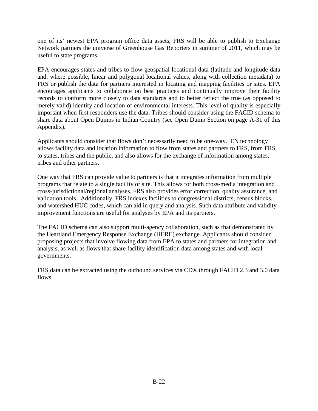one of its' newest EPA program office data assets, FRS will be able to publish to Exchange Network partners the universe of Greenhouse Gas Reporters in summer of 2011, which may be useful to state programs.

EPA encourages states and tribes to flow geospatial locational data (latitude and longitude data and, where possible, linear and polygonal locational values, along with collection metadata) to FRS or publish the data for partners interested in locating and mapping facilities or sites. EPA encourages applicants to collaborate on best practices and continually improve their facility records to conform more closely to data standards and to better reflect the true (as opposed to merely valid) identity and location of environmental interests. This level of quality is especially important when first responders use the data. Tribes should consider using the FACID schema to share data about Open Dumps in Indian Country (see Open Dump Section on page A-31 of this Appendix).

Applicants should consider that flows don't necessarily need to be one-way. EN technology allows facility data and location information to flow from states and partners to FRS, from FRS to states, tribes and the public, and also allows for the exchange of information among states, tribes and other partners.

One way that FRS can provide value to partners is that it integrates information from multiple programs that relate to a single facility or site. This allows for both cross-media integration and cross-jurisdictional/regional analyses. FRS also provides error correction, quality assurance, and validation tools. Additionally, FRS indexes facilities to congressional districts, census blocks, and watershed HUC codes, which can aid in query and analysis. Such data attribute and validity improvement functions are useful for analyses by EPA and its partners.

The FACID schema can also support multi-agency collaboration, such as that demonstrated by the Heartland Emergency Response Exchange (HERE) exchange. Applicants should consider proposing projects that involve flowing data from EPA to states and partners for integration and analysis, as well as flows that share facility identification data among states and with local governments.

FRS data can be extracted using the outbound services via CDX through FACID 2.3 and 3.0 data flows.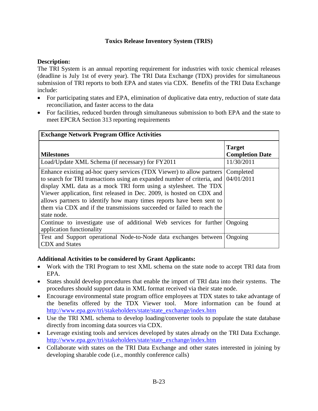#### **Toxics Release Inventory System (TRIS)**

#### **Description:**

The TRI System is an annual reporting requirement for industries with toxic chemical releases (deadline is July 1st of every year). The TRI Data Exchange (TDX) provides for simultaneous submission of TRI reports to both EPA and states via CDX. Benefits of the TRI Data Exchange include:

- For participating states and EPA, elimination of duplicative data entry, reduction of state data reconciliation, and faster access to the data
- For facilities, reduced burden through simultaneous submission to both EPA and the state to meet EPCRA Section 313 reporting requirements

| <b>Exchange Network Program Office Activities</b>                                                                                                                                                                                                                                                                                                                                                                                                              |                                         |  |  |
|----------------------------------------------------------------------------------------------------------------------------------------------------------------------------------------------------------------------------------------------------------------------------------------------------------------------------------------------------------------------------------------------------------------------------------------------------------------|-----------------------------------------|--|--|
| <b>Milestones</b>                                                                                                                                                                                                                                                                                                                                                                                                                                              | <b>Target</b><br><b>Completion Date</b> |  |  |
| Load/Update XML Schema (if necessary) for FY2011                                                                                                                                                                                                                                                                                                                                                                                                               | 11/30/2011                              |  |  |
| Enhance existing ad-hoc query services (TDX Viewer) to allow partners<br>to search for TRI transactions using an expanded number of criteria, and<br>display XML data as a mock TRI form using a stylesheet. The TDX<br>Viewer application, first released in Dec. 2009, is hosted on CDX and<br>allows partners to identify how many times reports have been sent to<br>them via CDX and if the transmissions succeeded or failed to reach the<br>state node. | Completed<br>04/01/2011                 |  |  |
| Continue to investigate use of additional Web services for further<br>application functionality                                                                                                                                                                                                                                                                                                                                                                | Ongoing                                 |  |  |
| Test and Support operational Node-to-Node data exchanges between<br><b>CDX</b> and States                                                                                                                                                                                                                                                                                                                                                                      | Ongoing                                 |  |  |

#### **Additional Activities to be considered by Grant Applicants:**

- Work with the TRI Program to test XML schema on the state node to accept TRI data from EPA.
- States should develop procedures that enable the import of TRI data into their systems. The procedures should support data in XML format received via their state node.
- Encourage environmental state program office employees at TDX states to take advantage of the benefits offered by the TDX Viewer tool. More information can be found at [http://www.epa.gov/tri/stakeholders/state/state\\_exchange/index.htm](http://www.epa.gov/tri/stakeholders/state/state_exchange/index.htm)
- Use the TRI XML schema to develop loading/converter tools to populate the state database directly from incoming data sources via CDX.
- Leverage existing tools and services developed by states already on the TRI Data Exchange. [http://www.epa.gov/tri/stakeholders/state/state\\_exchange/index.htm](http://www.epa.gov/tri/stakeholders/state/state_exchange/index.htm)
- Collaborate with states on the TRI Data Exchange and other states interested in joining by developing sharable code (i.e., monthly conference calls)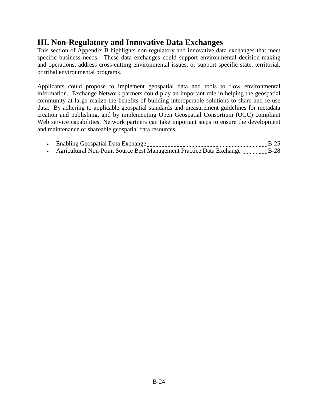# **III. Non-Regulatory and Innovative Data Exchanges**

This section of Appendix B highlights non-regulatory and innovative data exchanges that meet specific business needs. These data exchanges could support environmental decision-making and operations, address cross-cutting environmental issues, or support specific state, territorial, or tribal environmental programs.

Applicants could propose to implement geospatial data and tools to flow environmental information. Exchange Network partners could play an important role in helping the geospatial community at large realize the benefits of building interoperable solutions to share and re-use data. By adhering to applicable geospatial standards and measurement guidelines for metadata creation and publishing, and by implementing Open Geospatial Consortium (OGC) compliant Web service capabilities*,* Network partners can take important steps to ensure the development and maintenance of shareable geospatial data resources.

|  | $B-25$ |
|--|--------|
|  |        |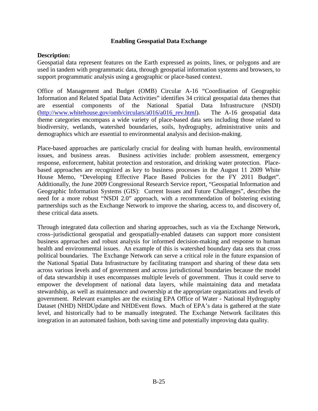#### **Enabling Geospatial Data Exchange**

#### **Description:**

Geospatial data represent features on the Earth expressed as points, lines, or polygons and are used in tandem with programmatic data, through geospatial information systems and browsers, to support programmatic analysis using a geographic or place-based context.

Office of Management and Budget (OMB) Circular A-16 "Coordination of Geographic Information and Related Spatial Data Activities" identifies 34 critical geospatial data themes that are essential components of the National Spatial Data Infrastructure (NSDI)  $(http://www.wikipediause.gov/omb/circulars/a016/a016 rev.html).$  The A-16 geospatial data theme categories encompass a wide variety of place-based data sets including those related to biodiversity, wetlands, watershed boundaries, soils, hydrography, administrative units and demographics which are essential to environmental analysis and decision-making.

Place-based approaches are particularly crucial for dealing with human health, environmental issues, and business areas. Business activities include: problem assessment, emergency response, enforcement, habitat protection and restoration, and drinking water protection. Placebased approaches are recognized as key to business processes in the August 11 2009 White House Memo, "Developing Effective Place Based Policies for the FY 2011 Budget". Additionally, the June 2009 Congressional Research Service report, "Geospatial Information and Geographic Information Systems (GIS): Current Issues and Future Challenges", describes the need for a more robust "NSDI 2.0" approach, with a recommendation of bolstering existing partnerships such as the Exchange Network to improve the sharing, access to, and discovery of, these critical data assets.

Through integrated data collection and sharing approaches, such as via the Exchange Network, cross–jurisdictional geospatial and geospatially-enabled datasets can support more consistent business approaches and robust analysis for informed decision-making and response to human health and environmental issues. An example of this is watershed boundary data sets that cross political boundaries. The Exchange Network can serve a critical role in the future expansion of the National Spatial Data Infrastructure by facilitating transport and sharing of these data sets across various levels and of government and across jurisdictional boundaries because the model of data stewardship it uses encompasses multiple levels of government. Thus it could serve to empower the development of national data layers, while maintaining data and metadata stewardship, as well as maintenance and ownership at the appropriate organizations and levels of government. Relevant examples are the existing EPA Office of Water - National Hydrography Dataset (NHD) NHDUpdate and NHDEvent flows. Much of EPA's data is gathered at the state level, and historically had to be manually integrated. The Exchange Network facilitates this integration in an automated fashion, both saving time and potentially improving data quality.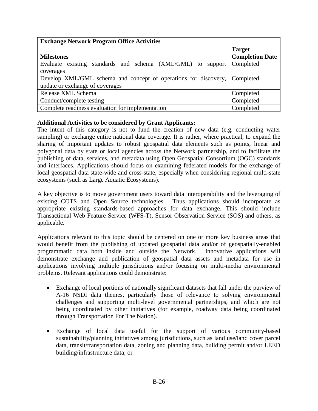| <b>Exchange Network Program Office Activities</b>               |                                         |  |  |
|-----------------------------------------------------------------|-----------------------------------------|--|--|
| <b>Milestones</b>                                               | <b>Target</b><br><b>Completion Date</b> |  |  |
| Evaluate existing standards and schema (XML/GML) to support     | Completed                               |  |  |
| coverages                                                       |                                         |  |  |
| Develop XML/GML schema and concept of operations for discovery, | Completed                               |  |  |
| update or exchange of coverages                                 |                                         |  |  |
| Release XML Schema                                              | Completed                               |  |  |
| Conduct/complete testing                                        | Completed                               |  |  |
| Complete readiness evaluation for implementation                | Completed                               |  |  |

#### **Additional Activities to be considered by Grant Applicants:**

The intent of this category is not to fund the creation of new data (e.g. conducting water sampling) or exchange entire national data coverage. It is rather, where practical, to expand the sharing of important updates to robust geospatial data elements such as points, linear and polygonal data by state or local agencies across the Network partnership, and to facilitate the publishing of data, services, and metadata using Open Geospatial Consortium (OGC) standards and interfaces. Applications should focus on examining federated models for the exchange of local geospatial data state-wide and cross-state, especially when considering regional multi-state ecosystems (such as Large Aquatic Ecosystems).

A key objective is to move government users toward data interoperability and the leveraging of existing COTS and Open Source technologies. Thus applications should incorporate as appropriate existing standards-based approaches for data exchange. This should include Transactional Web Feature Service (WFS-T), Sensor Observation Service (SOS) and others, as applicable.

Applications relevant to this topic should be centered on one or more key business areas that would benefit from the publishing of updated geospatial data and/or of geospatially-enabled programmatic data both inside and outside the Network. Innovative applications will demonstrate exchange and publication of geospatial data assets and metadata for use in applications involving multiple jurisdictions and/or focusing on multi-media environmental problems. Relevant applications could demonstrate:

- Exchange of local portions of nationally significant datasets that fall under the purview of A-16 NSDI data themes, particularly those of relevance to solving environmental challenges and supporting multi-level governmental partnerships, and which are not being coordinated by other initiatives (for example, roadway data being coordinated through Transportation For The Nation).
- Exchange of local data useful for the support of various community-based sustainability/planning initiatives among jurisdictions, such as land use/land cover parcel data, transit/transportation data, zoning and planning data, building permit and/or LEED building/infrastructure data; or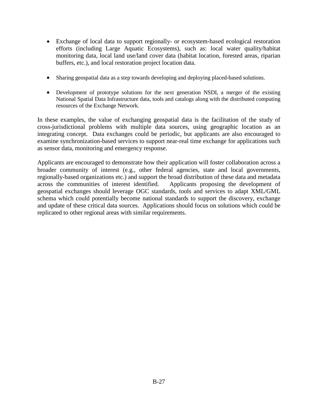- Exchange of local data to support regionally- or ecosystem-based ecological restoration efforts (including Large Aquatic Ecosystems), such as: local water quality/habitat monitoring data, local land use/land cover data (habitat location, forested areas, riparian buffers, etc.), and local restoration project location data.
- Sharing geospatial data as a step towards developing and deploying placed-based solutions.
- Development of prototype solutions for the next generation NSDI, a merger of the existing National Spatial Data Infrastructure data, tools and catalogs along with the distributed computing resources of the Exchange Network.

In these examples, the value of exchanging geospatial data is the facilitation of the study of cross-jurisdictional problems with multiple data sources, using geographic location as an integrating concept. Data exchanges could be periodic, but applicants are also encouraged to examine synchronization-based services to support near-real time exchange for applications such as sensor data, monitoring and emergency response.

Applicants are encouraged to demonstrate how their application will foster collaboration across a broader community of interest (e.g., other federal agencies, state and local governments, regionally-based organizations etc.) and support the broad distribution of these data and metadata across the communities of interest identified. Applicants proposing the development of geospatial exchanges should leverage OGC standards, tools and services to adapt XML/GML schema which could potentially become national standards to support the discovery, exchange and update of these critical data sources. Applications should focus on solutions which could be replicated to other regional areas with similar requirements.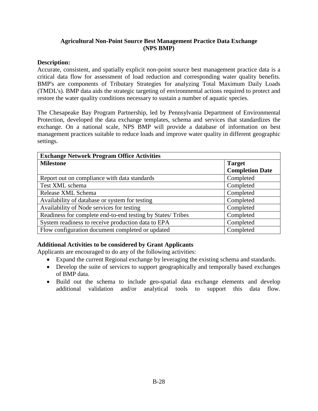#### **Agricultural Non-Point Source Best Management Practice Data Exchange (NPS BMP)**

#### **Description:**

Accurate, consistent, and spatially explicit non-point source best management practice data is a critical data flow for assessment of load reduction and corresponding water quality benefits. BMP's are components of Tributary Strategies for analyzing Total Maximum Daily Loads (TMDL's). BMP data aids the strategic targeting of environmental actions required to protect and restore the water quality conditions necessary to sustain a number of aquatic species.

The Chesapeake Bay Program Partnership, led by Pennsylvania Department of Environmental Protection, developed the data exchange templates, schema and services that standardizes the exchange. On a national scale, NPS BMP will provide a database of information on best management practices suitable to reduce loads and improve water quality in different geographic settings.

| <b>Exchange Network Program Office Activities</b>           |                                         |  |  |
|-------------------------------------------------------------|-----------------------------------------|--|--|
| <b>Milestone</b>                                            | <b>Target</b><br><b>Completion Date</b> |  |  |
| Report out on compliance with data standards                | Completed                               |  |  |
| Test XML schema                                             | Completed                               |  |  |
| Release XML Schema                                          | Completed                               |  |  |
| Availability of database or system for testing              | Completed                               |  |  |
| Availability of Node services for testing                   | Completed                               |  |  |
| Readiness for complete end-to-end testing by States/ Tribes | Completed                               |  |  |
| System readiness to receive production data to EPA          | Completed                               |  |  |
| Flow configuration document completed or updated            | Completed                               |  |  |

#### **Additional Activities to be considered by Grant Applicants**

Applicants are encouraged to do any of the following activities:

- Expand the current Regional exchange by leveraging the existing schema and standards.
- Develop the suite of services to support geographically and temporally based exchanges of BMP data.
- Build out the schema to include geo-spatial data exchange elements and develop additional validation and/or analytical tools to support this data flow.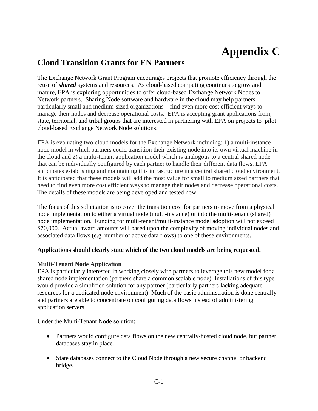# **Appendix C**

# **Cloud Transition Grants for EN Partners**

The Exchange Network Grant Program encourages projects that promote efficiency through the reuse of *shared* systems and resources. As cloud-based computing continues to grow and mature, EPA is exploring opportunities to offer cloud-based Exchange Network Nodes to Network partners. Sharing Node software and hardware in the cloud may help partners particularly small and medium-sized organizations—find even more cost efficient ways to manage their nodes and decrease operational costs. EPA is accepting grant applications from, state, territorial, and tribal groups that are interested in partnering with EPA on projects to pilot cloud-based Exchange Network Node solutions.

EPA is evaluating two cloud models for the Exchange Network including: 1) a multi-instance node model in which partners could transition their existing node into its own virtual machine in the cloud and 2) a multi-tenant application model which is analogous to a central shared node that can be individually configured by each partner to handle their different data flows. EPA anticipates establishing and maintaining this infrastructure in a central shared cloud environment. It is anticipated that these models will add the most value for small to medium sized partners that need to find even more cost efficient ways to manage their nodes and decrease operational costs. The details of these models are being developed and tested now.

The focus of this solicitation is to cover the transition cost for partners to move from a physical node implementation to either a virtual node (multi-instance) or into the multi-tenant (shared) node implementation. Funding for multi-tenant/mulit-instance model adoption will not exceed \$70,000. Actual award amounts will based upon the complexity of moving individual nodes and associated data flows (e.g. number of active data flows) to one of these environments.

#### **Applications should clearly state which of the two cloud models are being requested.**

#### **Multi-Tenant Node Application**

EPA is particularly interested in working closely with partners to leverage this new model for a shared node implementation (partners share a common scalable node). Installations of this type would provide a simplified solution for any partner (particularly partners lacking adequate resources for a dedicated node environment). Much of the basic administration is done centrally and partners are able to concentrate on configuring data flows instead of administering application servers.

Under the Multi-Tenant Node solution:

- Partners would configure data flows on the new centrally-hosted cloud node, but partner databases stay in place.
- State databases connect to the Cloud Node through a new secure channel or backend bridge.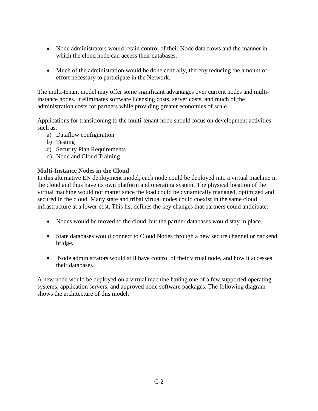- Node administrators would retain control of their Node data flows and the manner in which the cloud node can access their databases.
- Much of the administration would be done centrally, thereby reducing the amount of effort necessary to participate in the Network.

The multi-tenant model may offer some significant advantages over current nodes and multiinstance nodes. It eliminates software licensing costs, server costs, and much of the administration costs for partners while providing greater economies of scale.

Applications for transitioning to the multi-tenant node should focus on development activities such as:

- a) Dataflow configuration
- b) Testing
- c) Security Plan Requirements
- d) Node and Cloud Training

#### **Multi-Instance Nodes in the Cloud**

In this alternative EN deployment model, each node could be deployed into a virtual machine in the cloud and thus have its own platform and operating system. The physical location of the virtual machine would not matter since the load could be dynamically managed, optimized and secured in the cloud. Many state and tribal virtual nodes could coexist in the same cloud infrastructure at a lower cost. This list defines the key changes that partners could anticipate:

- Nodes would be moved to the cloud, but the partner databases would stay in place.
- State databases would connect to Cloud Nodes through a new secure channel or backend bridge.
- Node administrators would still have control of their virtual node, and how it accesses their databases.

A new node would be deployed on a virtual machine having one of a few supported operating systems, application servers, and approved node software packages. The following diagram shows the architecture of this model: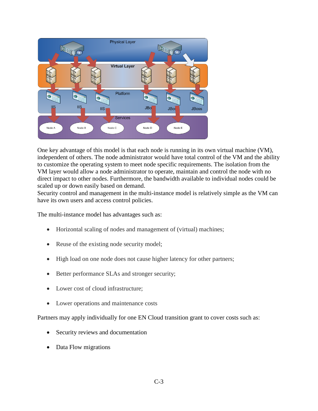

One key advantage of this model is that each node is running in its own virtual machine (VM), independent of others. The node administrator would have total control of the VM and the ability to customize the operating system to meet node specific requirements. The isolation from the VM layer would allow a node administrator to operate, maintain and control the node with no direct impact to other nodes. Furthermore, the bandwidth available to individual nodes could be scaled up or down easily based on demand.

Security control and management in the multi-instance model is relatively simple as the VM can have its own users and access control policies.

The multi-instance model has advantages such as:

- Horizontal scaling of nodes and management of (virtual) machines;
- Reuse of the existing node security model;
- High load on one node does not cause higher latency for other partners;
- Better performance SLAs and stronger security;
- Lower cost of cloud infrastructure;
- Lower operations and maintenance costs

Partners may apply individually for one EN Cloud transition grant to cover costs such as:

- Security reviews and documentation
- Data Flow migrations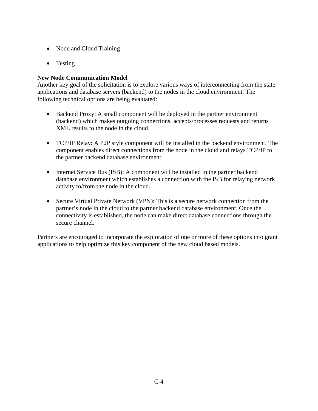- Node and Cloud Training
- Testing

#### **New Node Communication Model**

Another key goal of the solicitation is to explore various ways of interconnecting from the state applications and database servers (backend) to the nodes in the cloud environment. The following technical options are being evaluated:

- Backend Proxy: A small component will be deployed in the partner environment (backend) which makes outgoing connections, accepts/processes requests and returns XML results to the node in the cloud.
- TCP/IP Relay: A P2P style component will be installed in the backend environment. The component enables direct connections from the node in the cloud and relays TCP/IP to the partner backend database environment.
- Internet Service Bus (ISB): A component will be installed in the partner backend database environment which establishes a connection with the ISB for relaying network activity to/from the node in the cloud.
- Secure Virtual Private Network (VPN): This is a secure network connection from the partner's node in the cloud to the partner backend database environment. Once the connectivity is established, the node can make direct database connections through the secure channel.

Partners are encouraged to incorporate the exploration of one or more of these options into grant applications to help optimize this key component of the new cloud based models.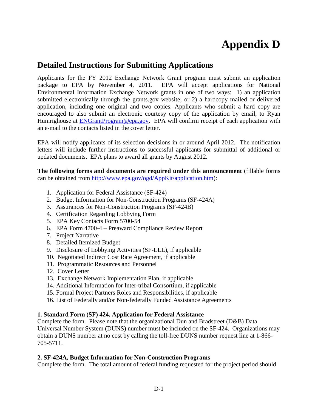# **Appendix D**

# **Detailed Instructions for Submitting Applications**

Applicants for the FY 2012 Exchange Network Grant program must submit an application package to EPA by November 4, 2011. EPA will accept applications for National Environmental Information Exchange Network grants in one of two ways: 1) an application submitted electronically through the grants.gov website; or 2) a hardcopy mailed or delivered application, including one original and two copies. Applicants who submit a hard copy are encouraged to also submit an electronic courtesy copy of the application by email, to Ryan Humrighouse at [ENGrantProgram@epa.gov.](mailto:mixon.edward@epa.gov) EPA will confirm receipt of each application with an e-mail to the contacts listed in the cover letter.

EPA will notify applicants of its selection decisions in or around April 2012. The notification letters will include further instructions to successful applicants for submittal of additional or updated documents. EPA plans to award all grants by August 2012.

**The following forms and documents are required under this announcement** (fillable forms can be obtained from [http://www.epa.gov/ogd/AppKit/application.htm\)](http://www.epa.gov/ogd/AppKit/application.htm):

- 1. Application for Federal Assistance (SF-424)
- 2. Budget Information for Non-Construction Programs (SF-424A)
- 3. Assurances for Non-Construction Programs (SF-424B)
- 4. Certification Regarding Lobbying Form
- 5. EPA Key Contacts Form 5700-54
- 6. EPA Form 4700-4 Preaward Compliance Review Report
- 7. Project Narrative
- 8. Detailed Itemized Budget
- 9. Disclosure of Lobbying Activities (SF-LLL), if applicable
- 10. Negotiated Indirect Cost Rate Agreement, if applicable
- 11. Programmatic Resources and Personnel
- 12. Cover Letter
- 13. Exchange Network Implementation Plan, if applicable
- 14. Additional Information for Inter-tribal Consortium, if applicable
- 15. Formal Project Partners Roles and Responsibilities, if applicable
- 16. List of Federally and/or Non-federally Funded Assistance Agreements

#### **1. Standard Form (SF) 424, Application for Federal Assistance**

Complete the form. Please note that the organizational Dun and Bradstreet (D&B) Data Universal Number System (DUNS) number must be included on the SF-424. Organizations may obtain a DUNS number at no cost by calling the toll-free DUNS number request line at 1-866- 705-5711.

#### **2. SF-424A, Budget Information for Non-Construction Programs**

Complete the form. The total amount of federal funding requested for the project period should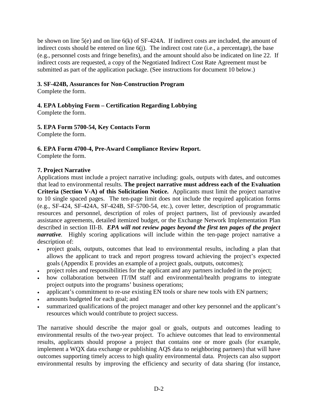be shown on line 5(e) and on line 6(k) of SF-424A. If indirect costs are included, the amount of indirect costs should be entered on line 6(j). The indirect cost rate (i.e., a percentage), the base (e.g., personnel costs and fringe benefits), and the amount should also be indicated on line 22. If indirect costs are requested, a copy of the Negotiated Indirect Cost Rate Agreement must be submitted as part of the application package. (See instructions for document 10 below.)

#### **3. SF-424B, Assurances for Non-Construction Program**

Complete the form.

#### **4. EPA Lobbying Form – Certification Regarding Lobbying**

Complete the form.

#### **5. EPA Form 5700-54, Key Contacts Form**

Complete the form.

#### **6. EPA Form 4700-4, Pre-Award Compliance Review Report.**

Complete the form.

#### **7. Project Narrative**

Applications must include a project narrative including: goals, outputs with dates, and outcomes that lead to environmental results. **The project narrative must address each of the Evaluation Criteria (Section V-A) of this Solicitation Notice.** Applicants must limit the project narrative to 10 single spaced pages. The ten-page limit does not include the required application forms (e.g., SF-424, SF-424A, SF-424B, SF-5700-54, etc.), cover letter, description of programmatic resources and personnel, description of roles of project partners, list of previously awarded assistance agreements, detailed itemized budget, or the Exchange Network Implementation Plan described in section III-B. *EPA will not review pages beyond the first ten pages of the project narrative.* Highly scoring applications will include within the ten-page project narrative a description of:

- project goals, outputs, outcomes that lead to environmental results, including a plan that allows the applicant to track and report progress toward achieving the project's expected goals (Appendix E provides an example of a project goals, outputs, outcomes);
- project roles and responsibilities for the applicant and any partners included in the project;
- how collaboration between IT/IM staff and environmental/health programs to integrate project outputs into the programs' business operations;
- applicant's commitment to re-use existing EN tools or share new tools with EN partners;
- amounts budgeted for each goal; and
- summarized qualifications of the project manager and other key personnel and the applicant's resources which would contribute to project success.

The narrative should describe the major goal or goals, outputs and outcomes leading to environmental results of the two-year project. To achieve outcomes that lead to environmental results, applicants should propose a project that contains one or more goals (for example, implement a WQX data exchange or publishing AQS data to neighboring partners) that will have outcomes supporting timely access to high quality environmental data. Projects can also support environmental results by improving the efficiency and security of data sharing (for instance,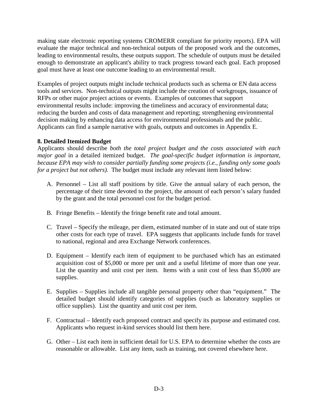making state electronic reporting systems CROMERR compliant for priority reports). EPA will evaluate the major technical and non-technical outputs of the proposed work and the outcomes, leading to environmental results, these outputs support. The schedule of outputs must be detailed enough to demonstrate an applicant's ability to track progress toward each goal. Each proposed goal must have at least one outcome leading to an environmental result.

Examples of project outputs might include technical products such as schema or EN data access tools and services. Non-technical outputs might include the creation of workgroups, issuance of RFPs or other major project actions or events. Examples of outcomes that support environmental results include: improving the timeliness and accuracy of environmental data; reducing the burden and costs of data management and reporting; strengthening environmental decision making by enhancing data access for environmental professionals and the public. Applicants can find a sample narrative with goals, outputs and outcomes in Appendix E.

#### **8. Detailed Itemized Budget**

Applicants should describe *both the total project budget and the costs associated with each major goal* in a detailed itemized budget. *The goal-specific budget information is important, because EPA may wish to consider partially funding some projects (i.e., funding only some goals for a project but not others).*The budget must include any relevant item listed below:

- A. Personnel List all staff positions by title. Give the annual salary of each person, the percentage of their time devoted to the project, the amount of each person's salary funded by the grant and the total personnel cost for the budget period.
- B. Fringe Benefits Identify the fringe benefit rate and total amount.
- C. Travel Specify the mileage, per diem, estimated number of in state and out of state trips other costs for each type of travel. EPA suggests that applicants include funds for travel to national, regional and area Exchange Network conferences.
- D. Equipment Identify each item of equipment to be purchased which has an estimated acquisition cost of \$5,000 or more per unit and a useful lifetime of more than one year. List the quantity and unit cost per item. Items with a unit cost of less than \$5,000 are supplies.
- E. Supplies Supplies include all tangible personal property other than "equipment." The detailed budget should identify categories of supplies (such as laboratory supplies or office supplies). List the quantity and unit cost per item.
- F. Contractual Identify each proposed contract and specify its purpose and estimated cost. Applicants who request in-kind services should list them here.
- G. Other List each item in sufficient detail for U.S. EPA to determine whether the costs are reasonable or allowable. List any item, such as training, not covered elsewhere here.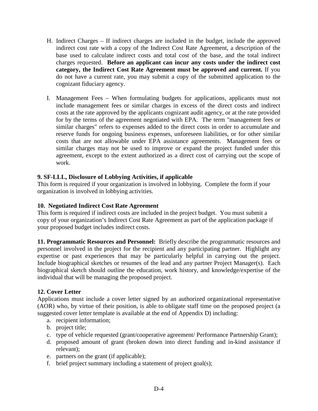- H. Indirect Charges If indirect charges are included in the budget, include the approved indirect cost rate with a copy of the Indirect Cost Rate Agreement, a description of the base used to calculate indirect costs and total cost of the base, and the total indirect charges requested. **Before an applicant can incur any costs under the indirect cost category, the Indirect Cost Rate Agreement must be approved and current.** If you do not have a current rate, you may submit a copy of the submitted application to the cognizant fiduciary agency.
- I. Management Fees When formulating budgets for applications, applicants must not include management fees or similar charges in excess of the direct costs and indirect costs at the rate approved by the applicants cognizant audit agency, or at the rate provided for by the terms of the agreement negotiated with EPA. The term "management fees or similar charges" refers to expenses added to the direct costs in order to accumulate and reserve funds for ongoing business expenses, unforeseen liabilities, or for other similar costs that are not allowable under EPA assistance agreements. Management fees or similar charges may not be used to improve or expand the project funded under this agreement, except to the extent authorized as a direct cost of carrying out the scope of work.

#### **9. SF-LLL, Disclosure of Lobbying Activities, if applicable**

This form is required if your organization is involved in lobbying. Complete the form if your organization is involved in lobbying activities.

#### **10. Negotiated Indirect Cost Rate Agreement**

This form is required if indirect costs are included in the project budget. You must submit a copy of your organization's Indirect Cost Rate Agreement as part of the application package if your proposed budget includes indirect costs.

**11. Programmatic Resources and Personnel:** Briefly describe the programmatic resources and personnel involved in the project for the recipient and any participating partner. Highlight any expertise or past experiences that may be particularly helpful in carrying out the project. Include biographical sketches or resumes of the lead and any partner Project Manager(s). Each biographical sketch should outline the education, work history, and knowledge/expertise of the individual that will be managing the proposed project.

#### **12. Cover Letter**

Applications must include a cover letter signed by an authorized organizational representative (AOR) who, by virtue of their position, is able to obligate staff time on the proposed project (a suggested cover letter template is available at the end of Appendix D) including:

- a. recipient information;
- b. project title;
- c. type of vehicle requested (grant/cooperative agreement/ Performance Partnership Grant);
- d. proposed amount of grant (broken down into direct funding and in-kind assistance if relevant);
- e. partners on the grant (if applicable);
- f. brief project summary including a statement of project goal(s);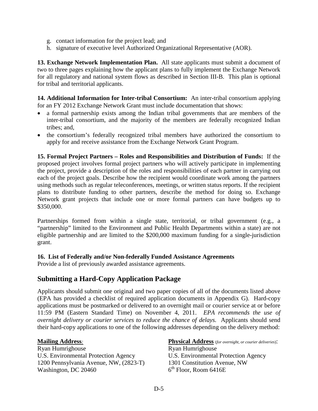- g. contact information for the project lead; and
- h. signature of executive level Authorized Organizational Representative (AOR).

**13. Exchange Network Implementation Plan.** All state applicants must submit a document of two to three pages explaining how the applicant plans to fully implement the Exchange Network for all regulatory and national system flows as described in Section III-B. This plan is optional for tribal and territorial applicants.

**14. Additional Information for Inter-tribal Consortium:** An inter-tribal consortium applying for an FY 2012 Exchange Network Grant must include documentation that shows:

- a formal partnership exists among the Indian tribal governments that are members of the inter-tribal consortium, and the majority of the members are federally recognized Indian tribes; and,
- the consortium's federally recognized tribal members have authorized the consortium to apply for and receive assistance from the Exchange Network Grant Program.

**15. Formal Project Partners – Roles and Responsibilities and Distribution of Funds:** If the proposed project involves formal project partners who will actively participate in implementing the project, provide a description of the roles and responsibilities of each partner in carrying out each of the project goals. Describe how the recipient would coordinate work among the partners using methods such as regular teleconferences, meetings, or written status reports. If the recipient plans to distribute funding to other partners, describe the method for doing so. Exchange Network grant projects that include one or more formal partners can have budgets up to \$350,000.

Partnerships formed from within a single state, territorial, or tribal government (e.g., a "partnership" limited to the Environment and Public Health Departments within a state) are not eligible partnership and are limited to the \$200,000 maximum funding for a single-jurisdiction grant.

#### **16. List of Federally and/or Non-federally Funded Assistance Agreements**

Provide a list of previously awarded assistance agreements.

### **Submitting a Hard-Copy Application Package**

Applicants should submit one original and two paper copies of all of the documents listed above (EPA has provided a checklist of required application documents in Appendix G). Hard-copy applications must be postmarked or delivered to an overnight mail or courier service at or before 11:59 PM (Eastern Standard Time) on November 4, 2011. *EPA recommends the use of overnight delivery or courier services to reduce the chance of delays.* Applicants should send their hard-copy applications to one of the following addresses depending on the delivery method:

Ryan Humrighouse U.S. Environmental Protection Agency U.S. Environmental Protection Agency 1200 Pennsylvania Avenue, NW, (2823-T) 1301 Constitution Avenue, NW<br>Washington, DC 20460 6<sup>th</sup> Floor, Room 6416E Washington, DC 20460

**Mailing Address**:<br> **Physical Address** (*for overnight, or courier deliveries*):<br> **Ryan Humrighouse**<br> **Physical Address** (*for overnight, or courier deliveries*):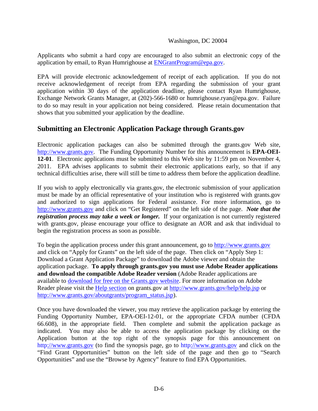#### Washington, DC 20004

Applicants who submit a hard copy are encouraged to also submit an electronic copy of the application by email, to Ryan Humrighouse at [ENGrantProgram@epa.gov.](mailto:mixon.edward@epa.gov)

EPA will provide electronic acknowledgement of receipt of each application. If you do not receive acknowledgement of receipt from EPA regarding the submission of your grant application within 30 days of the application deadline, please contact Ryan Humrighouse, Exchange Network Grants Manager, at (202)-566-1680 or humrighouse.ryan@epa.gov. Failure to do so may result in your application not being considered. Please retain documentation that shows that you submitted your application by the deadline.

#### **Submitting an Electronic Application Package through Grants.gov**

Electronic application packages can also be submitted through the grants.gov Web site, [http://www.grants.gov.](http://www.grants.gov/) The Funding Opportunity Number for this announcement is **EPA-OEI-12-01**. Electronic applications must be submitted to this Web site by 11:59 pm on November 4, 2011. EPA advises applicants to submit their electronic applications early, so that if any technical difficulties arise, there will still be time to address them before the application deadline.

If you wish to apply electronically via grants.gov, the electronic submission of your application must be made by an official representative of your institution who is registered with grants.gov and authorized to sign applications for Federal assistance. For more information, go to [http://www.grants.gov](http://www.grants.gov/) and click on "Get Registered" on the left side of the page. *Note that the registration process may take a week or longer.* If your organization is not currently registered with grants.gov, please encourage your office to designate an AOR and ask that individual to begin the registration process as soon as possible.

To begin the application process under this grant announcement, go to [http://www.grants.gov](http://www.grants.gov/) and click on "Apply for Grants" on the left side of the page. Then click on "Apply Step 1: Download a Grant Application Package" to download the Adobe viewer and obtain the application package. **To apply through grants.gov you must use Adobe Reader applications and download the compatible Adobe Reader version** (Adobe Reader applications are available to [download for free on the Grants.gov website.](http://grants.gov/help/download_software.jsp) For more information on Adobe Reader please visit the [Help section](http://grants.gov/help/help.jsp) on grants.gov at<http://www.grants.gov/help/help.jsp> or [http://www.grants.gov/aboutgrants/program\\_status.jsp\)](http://www.grants.gov/aboutgrants/program_status.jsp).

Once you have downloaded the viewer, you may retrieve the application package by entering the Funding Opportunity Number, EPA-OEI-12-01, or the appropriate CFDA number (CFDA 66.608), in the appropriate field. Then complete and submit the application package as indicated. You may also be able to access the application package by clicking on the Application button at the top right of the synopsis page for this announcement on http://www.grants.gov (to find the synopsis page, go to http://www.grants.gov and click on the "Find Grant Opportunities" button on the left side of the page and then go to "Search Opportunities" and use the "Browse by Agency" feature to find EPA Opportunities.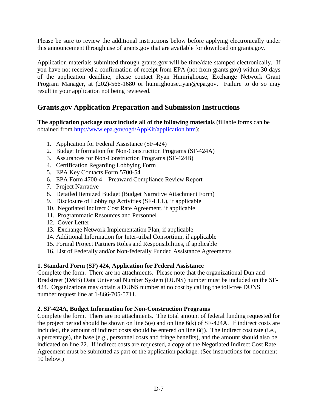Please be sure to review the additional instructions below before applying electronically under this announcement through use of grants.gov that are available for download on grants.gov.

Application materials submitted through grants.gov will be time/date stamped electronically. If you have not received a confirmation of receipt from EPA (not from grants.gov) within 30 days of the application deadline, please contact Ryan Humrighouse, Exchange Network Grant Program Manager, at (202)-566-1680 or humrighouse.ryan@epa.gov. Failure to do so may result in your application not being reviewed.

### **Grants.gov Application Preparation and Submission Instructions**

**The application package** *must* **include all of the following materials** (fillable forms can be obtained from [http://www.epa.gov/ogd/AppKit/application.htm\)](http://www.epa.gov/ogd/AppKit/application.htm):

- 1. Application for Federal Assistance (SF-424)
- 2. Budget Information for Non-Construction Programs (SF-424A)
- 3. Assurances for Non-Construction Programs (SF-424B)
- 4. Certification Regarding Lobbying Form
- 5. EPA Key Contacts Form 5700-54
- 6. EPA Form 4700-4 Preaward Compliance Review Report
- 7. Project Narrative
- 8. Detailed Itemized Budget (Budget Narrative Attachment Form)
- 9. Disclosure of Lobbying Activities (SF-LLL), if applicable
- 10. Negotiated Indirect Cost Rate Agreement, if applicable
- 11. Programmatic Resources and Personnel
- 12. Cover Letter
- 13. Exchange Network Implementation Plan, if applicable
- 14. Additional Information for Inter-tribal Consortium, if applicable
- 15. Formal Project Partners Roles and Responsibilities, if applicable
- 16. List of Federally and/or Non-federally Funded Assistance Agreements

#### **1. Standard Form (SF) 424, Application for Federal Assistance**

Complete the form. There are no attachments. Please note that the organizational Dun and Bradstreet (D&B) Data Universal Number System (DUNS) number must be included on the SF-424. Organizations may obtain a DUNS number at no cost by calling the toll-free DUNS number request line at 1-866-705-5711.

#### **2. SF-424A, Budget Information for Non-Construction Programs**

Complete the form. There are no attachments. The total amount of federal funding requested for the project period should be shown on line 5(e) and on line 6(k) of SF-424A. If indirect costs are included, the amount of indirect costs should be entered on line 6(j). The indirect cost rate (i.e., a percentage), the base (e.g., personnel costs and fringe benefits), and the amount should also be indicated on line 22. If indirect costs are requested, a copy of the Negotiated Indirect Cost Rate Agreement must be submitted as part of the application package. (See instructions for document 10 below.)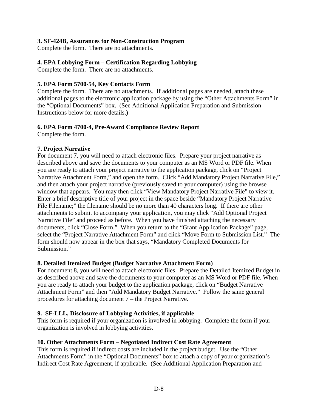#### **3. SF-424B, Assurances for Non-Construction Program**

Complete the form. There are no attachments.

#### **4. EPA Lobbying Form – Certification Regarding Lobbying**

Complete the form. There are no attachments.

#### **5. EPA Form 5700-54, Key Contacts Form**

Complete the form. There are no attachments. If additional pages are needed, attach these additional pages to the electronic application package by using the "Other Attachments Form" in the "Optional Documents" box. (See Additional Application Preparation and Submission Instructions below for more details.)

#### **6. EPA Form 4700-4, Pre-Award Compliance Review Report**

Complete the form.

#### **7. Project Narrative**

For document 7, you will need to attach electronic files. Prepare your project narrative as described above and save the documents to your computer as an MS Word or PDF file. When you are ready to attach your project narrative to the application package, click on "Project Narrative Attachment Form," and open the form. Click "Add Mandatory Project Narrative File," and then attach your project narrative (previously saved to your computer) using the browse window that appears. You may then click "View Mandatory Project Narrative File" to view it. Enter a brief descriptive title of your project in the space beside "Mandatory Project Narrative File Filename;" the filename should be no more than 40 characters long. If there are other attachments to submit to accompany your application, you may click "Add Optional Project Narrative File" and proceed as before. When you have finished attaching the necessary documents, click "Close Form." When you return to the "Grant Application Package" page, select the "Project Narrative Attachment Form" and click "Move Form to Submission List." The form should now appear in the box that says, "Mandatory Completed Documents for Submission."

#### **8. Detailed Itemized Budget (Budget Narrative Attachment Form)**

For document 8, you will need to attach electronic files. Prepare the Detailed Itemized Budget in as described above and save the documents to your computer as an MS Word or PDF file. When you are ready to attach your budget to the application package, click on "Budget Narrative Attachment Form" and then "Add Mandatory Budget Narrative." Follow the same general procedures for attaching document 7 – the Project Narrative.

#### **9. SF-LLL, Disclosure of Lobbying Activities, if applicable**

This form is required if your organization is involved in lobbying. Complete the form if your organization is involved in lobbying activities.

#### **10. Other Attachments Form – Negotiated Indirect Cost Rate Agreement**

This form is required if indirect costs are included in the project budget. Use the "Other Attachments Form" in the "Optional Documents" box to attach a copy of your organization's Indirect Cost Rate Agreement, if applicable. (See Additional Application Preparation and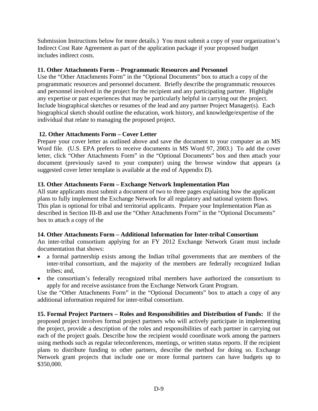Submission Instructions below for more details.) You must submit a copy of your organization's Indirect Cost Rate Agreement as part of the application package if your proposed budget includes indirect costs.

#### **11. Other Attachments Form – Programmatic Resources and Personnel**

Use the "Other Attachments Form" in the "Optional Documents" box to attach a copy of the programmatic resources and personnel document. Briefly describe the programmatic resources and personnel involved in the project for the recipient and any participating partner. Highlight any expertise or past experiences that may be particularly helpful in carrying out the project. Include biographical sketches or resumes of the lead and any partner Project Manager(s). Each biographical sketch should outline the education, work history, and knowledge/expertise of the individual that relate to managing the proposed project.

#### **12. Other Attachments Form – Cover Letter**

Prepare your cover letter as outlined above and save the document to your computer as an MS Word file. (U.S. EPA prefers to receive documents in MS Word 97, 2003.) To add the cover letter, click "Other Attachments Form" in the "Optional Documents" box and then attach your document (previously saved to your computer) using the browse window that appears (a suggested cover letter template is available at the end of Appendix D).

#### **13. Other Attachments Form – Exchange Network Implementation Plan**

All state applicants must submit a document of two to three pages explaining how the applicant plans to fully implement the Exchange Network for all regulatory and national system flows. This plan is optional for tribal and territorial applicants. Prepare your Implementation Plan as described in Section III-B and use the "Other Attachments Form" in the "Optional Documents" box to attach a copy of the

#### **14. Other Attachments Form – Additional Information for Inter-tribal Consortium**

An inter-tribal consortium applying for an FY 2012 Exchange Network Grant must include documentation that shows:

- a formal partnership exists among the Indian tribal governments that are members of the inter-tribal consortium, and the majority of the members are federally recognized Indian tribes; and,
- the consortium's federally recognized tribal members have authorized the consortium to apply for and receive assistance from the Exchange Network Grant Program.

Use the "Other Attachments Form" in the "Optional Documents" box to attach a copy of any additional information required for inter-tribal consortium.

**15. Formal Project Partners – Roles and Responsibilities and Distribution of Funds:** If the proposed project involves formal project partners who will actively participate in implementing the project, provide a description of the roles and responsibilities of each partner in carrying out each of the project goals. Describe how the recipient would coordinate work among the partners using methods such as regular teleconferences, meetings, or written status reports. If the recipient plans to distribute funding to other partners, describe the method for doing so. Exchange Network grant projects that include one or more formal partners can have budgets up to \$350,000.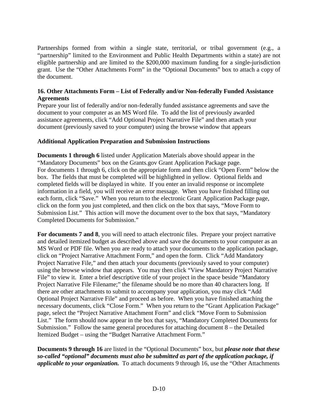Partnerships formed from within a single state, territorial, or tribal government (e.g., a "partnership" limited to the Environment and Public Health Departments within a state) are not eligible partnership and are limited to the \$200,000 maximum funding for a single-jurisdiction grant. Use the "Other Attachments Form" in the "Optional Documents" box to attach a copy of the document.

#### **16. Other Attachments Form – List of Federally and/or Non-federally Funded Assistance Agreements**

Prepare your list of federally and/or non-federally funded assistance agreements and save the document to your computer as an MS Word file. To add the list of previously awarded assistance agreements, click "Add Optional Project Narrative File" and then attach your document (previously saved to your computer) using the browse window that appears

#### **Additional Application Preparation and Submission Instructions**

**Documents 1 through 6** listed under Application Materials above should appear in the "Mandatory Documents" box on the Grants.gov Grant Application Package page. For documents 1 through 6, click on the appropriate form and then click "Open Form" below the box. The fields that must be completed will be highlighted in yellow. Optional fields and completed fields will be displayed in white. If you enter an invalid response or incomplete information in a field, you will receive an error message. When you have finished filling out each form, click "Save." When you return to the electronic Grant Application Package page, click on the form you just completed, and then click on the box that says, "Move Form to Submission List." This action will move the document over to the box that says, "Mandatory Completed Documents for Submission."

**For documents 7 and 8**, you will need to attach electronic files. Prepare your project narrative and detailed itemized budget as described above and save the documents to your computer as an MS Word or PDF file. When you are ready to attach your documents to the application package, click on "Project Narrative Attachment Form," and open the form. Click "Add Mandatory Project Narrative File," and then attach your documents (previously saved to your computer) using the browse window that appears. You may then click "View Mandatory Project Narrative File" to view it. Enter a brief descriptive title of your project in the space beside "Mandatory Project Narrative File Filename;" the filename should be no more than 40 characters long. If there are other attachments to submit to accompany your application, you may click "Add Optional Project Narrative File" and proceed as before. When you have finished attaching the necessary documents, click "Close Form." When you return to the "Grant Application Package" page, select the "Project Narrative Attachment Form" and click "Move Form to Submission List." The form should now appear in the box that says, "Mandatory Completed Documents for Submission." Follow the same general procedures for attaching document 8 – the Detailed Itemized Budget – using the "Budget Narrative Attachment Form."

**Documents 9 through 16** are listed in the "Optional Documents" box, but *please note that these so-called "optional" documents must also be submitted as part of the application package, if applicable to your organization.* To attach documents 9 through 16, use the "Other Attachments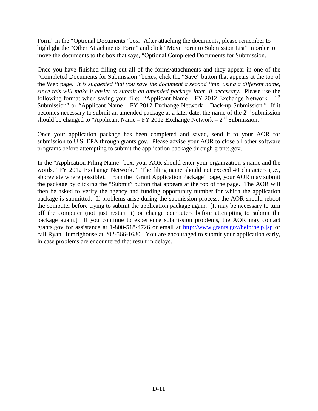Form" in the "Optional Documents" box. After attaching the documents, please remember to highlight the "Other Attachments Form" and click "Move Form to Submission List" in order to move the documents to the box that says, "Optional Completed Documents for Submission.

Once you have finished filling out all of the forms/attachments and they appear in one of the "Completed Documents for Submission" boxes, click the "Save" button that appears at the top of the Web page. *It is suggested that you save the document a second time, using a different name, since this will make it easier to submit an amended package later, if necessary.* Please use the following format when saving your file: "Applicant Name – FY 2012 Exchange Network –  $1<sup>st</sup>$ Submission" or "Applicant Name – FY 2012 Exchange Network – Back-up Submission." If it becomes necessary to submit an amended package at a later date, the name of the  $2<sup>nd</sup>$  submission should be changed to "Applicant Name –  $\overline{FY}$  2012 Exchange Network –  $2^{nd}$  Submission."

Once your application package has been completed and saved, send it to your AOR for submission to U.S. EPA through grants.gov. Please advise your AOR to close all other software programs before attempting to submit the application package through grants.gov.

In the "Application Filing Name" box, your AOR should enter your organization's name and the words, "FY 2012 Exchange Network." The filing name should not exceed 40 characters (i.e., abbreviate where possible). From the "Grant Application Package" page, your AOR may submit the package by clicking the "Submit" button that appears at the top of the page. The AOR will then be asked to verify the agency and funding opportunity number for which the application package is submitted. If problems arise during the submission process, the AOR should reboot the computer before trying to submit the application package again. [It may be necessary to turn off the computer (not just restart it) or change computers before attempting to submit the package again.] If you continue to experience submission problems, the AOR may contact grants.gov for assistance at 1-800-518-4726 or email at<http://www.grants.gov/help/help.jsp> or call Ryan Humrighouse at 202-566-1680. You are encouraged to submit your application early, in case problems are encountered that result in delays.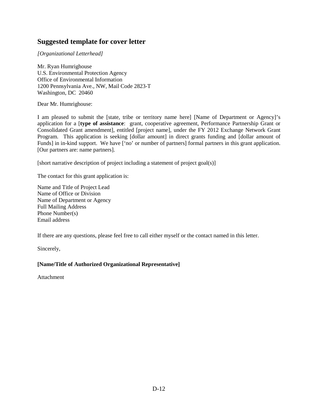#### **Suggested template for cover letter**

*[Organizational Letterhead]*

Mr. Ryan Humrighouse U.S. Environmental Protection Agency Office of Environmental Information 1200 Pennsylvania Ave., NW, Mail Code 2823-T Washington, DC 20460

Dear Mr. Humrighouse:

I am pleased to submit the [state, tribe or territory name here] [Name of Department or Agency]'s application for a [**type of assistance**: grant, cooperative agreement, Performance Partnership Grant or Consolidated Grant amendment], entitled [project name], under the FY 2012 Exchange Network Grant Program. This application is seeking [dollar amount] in direct grants funding and [dollar amount of Funds] in in-kind support. We have ['no' or number of partners] formal partners in this grant application. [Our partners are: name partners].

[short narrative description of project including a statement of project goal(s)]

The contact for this grant application is:

Name and Title of Project Lead Name of Office or Division Name of Department or Agency Full Mailing Address Phone Number(s) Email address

If there are any questions, please feel free to call either myself or the contact named in this letter.

Sincerely,

#### **[Name/Title of Authorized Organizational Representative]**

Attachment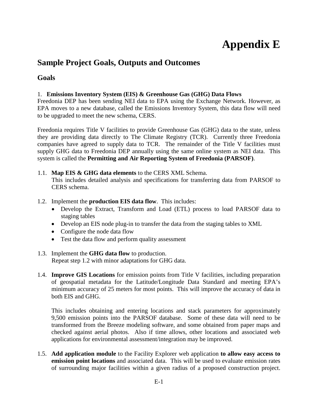# **Appendix E**

## **Sample Project Goals, Outputs and Outcomes**

#### **Goals**

#### 1. **Emissions Inventory System (EIS) & Greenhouse Gas (GHG) Data Flows**

Freedonia DEP has been sending NEI data to EPA using the Exchange Network. However, as EPA moves to a new database, called the Emissions Inventory System, this data flow will need to be upgraded to meet the new schema, CERS.

Freedonia requires Title V facilities to provide Greenhouse Gas (GHG) data to the state, unless they are providing data directly to The Climate Registry (TCR). Currently three Freedonia companies have agreed to supply data to TCR. The remainder of the Title V facilities must supply GHG data to Freedonia DEP annually using the same online system as NEI data. This system is called the **Permitting and Air Reporting System of Freedonia (PARSOF)**.

1.1. **Map EIS & GHG data elements** to the CERS XML Schema.

This includes detailed analysis and specifications for transferring data from PARSOF to CERS schema.

- 1.2. Implement the **production EIS data flow**. This includes:
	- Develop the Extract, Transform and Load (ETL) process to load PARSOF data to staging tables
	- Develop an EIS node plug-in to transfer the data from the staging tables to XML
	- Configure the node data flow
	- Test the data flow and perform quality assessment
- 1.3. Implement the **GHG data flow** to production. Repeat step 1.2 with minor adaptations for GHG data.
- 1.4. **Improve GIS Locations** for emission points from Title V facilities, including preparation of geospatial metadata for the Latitude/Longitude Data Standard and meeting EPA's minimum accuracy of 25 meters for most points. This will improve the accuracy of data in both EIS and GHG.

This includes obtaining and entering locations and stack parameters for approximately 9,500 emission points into the PARSOF database. Some of these data will need to be transformed from the Breeze modeling software, and some obtained from paper maps and checked against aerial photos. Also if time allows, other locations and associated web applications for environmental assessment/integration may be improved.

1.5. **Add application module** to the Facility Explorer web application **to allow easy access to emission point locations** and associated data. This will be used to evaluate emission rates of surrounding major facilities within a given radius of a proposed construction project.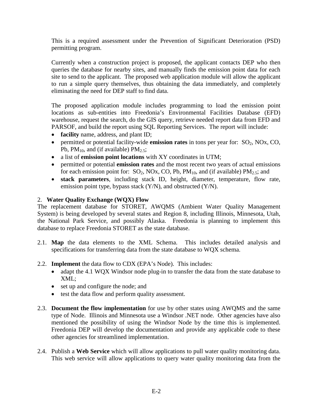This is a required assessment under the Prevention of Significant Deterioration (PSD) permitting program.

Currently when a construction project is proposed, the applicant contacts DEP who then queries the database for nearby sites, and manually finds the emission point data for each site to send to the applicant. The proposed web application module will allow the applicant to run a simple query themselves, thus obtaining the data immediately, and completely eliminating the need for DEP staff to find data.

The proposed application module includes programming to load the emission point locations as sub-entities into Freedonia's Environmental Facilities Database (EFD) warehouse, request the search, do the GIS query, retrieve needed report data from EFD and PARSOF, and build the report using SQL Reporting Services. The report will include:

- **facility** name, address, and plant ID;
- permitted or potential facility-wide **emission rates** in tons per year for:  $SO_2$ , NOx, CO, Pb,  $PM_{10}$ , and (if available)  $PM_{2.5}$ ;
- a list of **emission point locations** with XY coordinates in UTM;
- permitted or potential **emission rates** and the most recent two years of actual emissions for each emission point for:  $SO_2$ , NOx, CO, Pb, PM<sub>10</sub>, and (if available) PM<sub>2.5</sub>; and
- **stack parameters**, including stack ID, height, diameter, temperature, flow rate, emission point type, bypass stack (Y/N), and obstructed (Y/N).

#### 2. **Water Quality Exchange (WQX) Flow**

The replacement database for STORET, AWQMS (Ambient Water Quality Management System) is being developed by several states and Region 8, including Illinois, Minnesota, Utah, the National Park Service, and possibly Alaska. Freedonia is planning to implement this database to replace Freedonia STORET as the state database.

- 2.1. **Map** the data elements to the XML Schema. This includes detailed analysis and specifications for transferring data from the state database to WQX schema.
- 2.2. **Implement** the data flow to CDX (EPA's Node). This includes:
	- adapt the 4.1 WQX Windsor node plug-in to transfer the data from the state database to XML;
	- set up and configure the node; and
	- test the data flow and perform quality assessment.
- 2.3. **Document the flow implementation** for use by other states using AWQMS and the same type of Node. Illinois and Minnesota use a Windsor .NET node. Other agencies have also mentioned the possibility of using the Windsor Node by the time this is implemented. Freedonia DEP will develop the documentation and provide any applicable code to these other agencies for streamlined implementation.
- 2.4. Publish a **Web Service** which will allow applications to pull water quality monitoring data. This web service will allow applications to query water quality monitoring data from the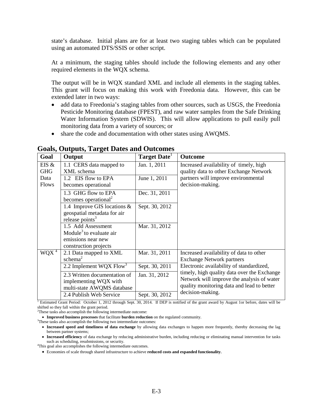state's database. Initial plans are for at least two staging tables which can be populated using an automated DTS/SSIS or other script.

At a minimum, the staging tables should include the following elements and any other required elements in the WQX schema.

The output will be in WQX standard XML and include all elements in the staging tables. This grant will focus on making this work with Freedonia data. However, this can be extended later in two ways:

- add data to Freedonia's staging tables from other sources, such as USGS, the Freedonia Pesticide Monitoring database (FPEST), and raw water samples from the Safe Drinking Water Information System (SDWIS). This will allow applications to pull easily pull monitoring data from a variety of sources; or
- share the code and documentation with other states using AWQMS.

| Goal         | o<br>Output                         | Target Date <sup>1</sup> | <b>Outcome</b>                              |
|--------------|-------------------------------------|--------------------------|---------------------------------------------|
| EIS &        | 1.1 CERS data mapped to             | Jan. 1, 2011             | Increased availability of timely, high      |
| <b>GHG</b>   | XML schema                          |                          | quality data to other Exchange Network      |
| Data         | 1.2 EIS flow to EPA                 | June 1, 2011             | partners will improve environmental         |
| <b>Flows</b> | becomes operational                 |                          | decision-making.                            |
|              | 1.3 GHG flow to EPA                 | Dec. 31, 2011            |                                             |
|              | becomes operational <sup>2</sup>    |                          |                                             |
|              | 1.4 Improve GIS locations &         | Sept. 30, 2012           |                                             |
|              | geospatial metadata for air         |                          |                                             |
|              | release points $3$                  |                          |                                             |
|              | 1.5 Add Assessment                  | Mar. 31, 2012            |                                             |
|              | Module <sup>3</sup> to evaluate air |                          |                                             |
|              | emissions near new                  |                          |                                             |
|              | construction projects               |                          |                                             |
| $WQX^4$      | 2.1 Data mapped to XML              | Mar. 31, 2011            | Increased availability of data to other     |
|              | schema <sup>2</sup>                 |                          | <b>Exchange Network partners</b>            |
|              | 2.2 Implement WQX Flow <sup>3</sup> | Sept. 30, 2011           | Electronic availability of standardized,    |
|              | 2.3 Written documentation of        | Jan. 31, 2012            | timely, high quality data over the Exchange |
|              | implementing WQX with               |                          | Network will improve the analysis of water  |
|              | multi-state AWQMS database          |                          | quality monitoring data and lead to better  |
|              | 2.4 Publish Web Service             | Sept. 30, 2012           | decision-making.                            |

**Goals, Outputs, Target Dates and Outcomes**

<sup>1</sup> Estimated Grant Period: October 1, 2012 through Sept. 30, 2014. If DEP is notified of the grant award by August 1or before, dates will be shifted so they fall within the grant period.

<sup>2</sup>These tasks also accomplish the following intermediate outcome:

• **Improved business processes** that facilitate **burden reduction** on the regulated community. <sup>3</sup>

<sup>3</sup>These tasks also accomplish the following two intermediate outcomes:

- **Increased speed and timeliness of data exchange** by allowing data exchanges to happen more frequently, thereby decreasing the lag between partner systems;
- **Increased efficiency** of data exchange by reducing administrative burden, including reducing or eliminating manual intervention for tasks such as scheduling, resubmissions, or security.

<sup>4</sup>This goal also accomplishes the following intermediate outcomes.

• Economies of scale through shared infrastructure to achieve **reduced costs and expanded functionality**.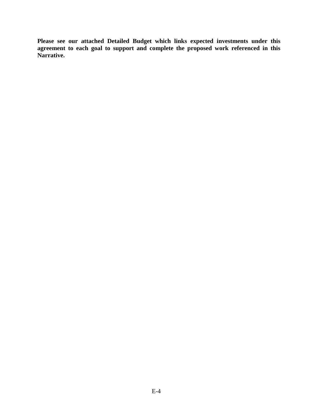**Please see our attached Detailed Budget which links expected investments under this agreement to each goal to support and complete the proposed work referenced in this Narrative.**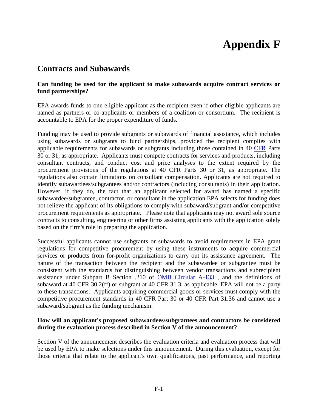## **Appendix F**

### **Contracts and Subawards**

#### **Can funding be used for the applicant to make subawards acquire contract services or fund partnerships?**

EPA awards funds to one eligible applicant as the recipient even if other eligible applicants are named as partners or co-applicants or members of a coalition or consortium. The recipient is accountable to EPA for the proper expenditure of funds.

Funding may be used to provide subgrants or subawards of financial assistance, which includes using subawards or subgrants to fund partnerships, provided the recipient complies with applicable requirements for subawards or subgrants including those contained in 40 [CFR](http://www.gpoaccess.gov/cfr/retrieve.html_) Parts 30 or 31, as appropriate. Applicants must compete contracts for services and products, including consultant contracts, and conduct cost and price analyses to the extent required by the procurement provisions of the regulations at 40 CFR Parts 30 or 31, as appropriate. The regulations also contain limitations on consultant compensation. Applicants are not required to identify subawardees/subgrantees and/or contractors (including consultants) in their application. However, if they do, the fact that an applicant selected for award has named a specific subawardee/subgrantee, contractor, or consultant in the application EPA selects for funding does not relieve the applicant of its obligations to comply with subaward/subgrant and/or competitive procurement requirements as appropriate. Please note that applicants may not award sole source contracts to consulting, engineering or other firms assisting applicants with the application solely based on the firm's role in preparing the application.

Successful applicants cannot use subgrants or subawards to avoid requirements in EPA grant regulations for competitive procurement by using these instruments to acquire commercial services or products from for-profit organizations to carry out its assistance agreement. The nature of the transaction between the recipient and the subawardee or subgrantee must be consistent with the standards for distinguishing between vendor transactions and subrecipient assistance under Subpart B Section .210 of [OMB Circular A-133](http://www.whitehouse.gov/omb/circulars/a133/a133.html_) , and the definitions of subaward at 40 CFR 30.2(ff) or subgrant at 40 CFR 31.3, as applicable. EPA will not be a party to these transactions. Applicants acquiring commercial goods or services must comply with the competitive procurement standards in 40 CFR Part 30 or 40 CFR Part 31.36 and cannot use a subaward/subgrant as the funding mechanism.

#### **How will an applicant's proposed subawardees/subgrantees and contractors be considered during the evaluation process described in Section V of the announcement?**

Section V of the announcement describes the evaluation criteria and evaluation process that will be used by EPA to make selections under this announcement. During this evaluation, except for those criteria that relate to the applicant's own qualifications, past performance, and reporting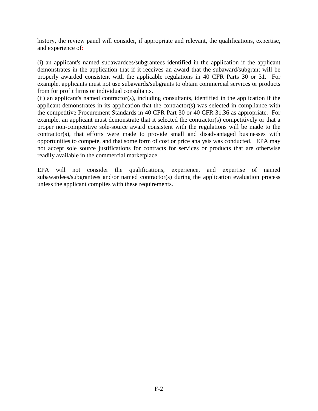history, the review panel will consider, if appropriate and relevant, the qualifications, expertise, and experience of:

(i) an applicant's named subawardees/subgrantees identified in the application if the applicant demonstrates in the application that if it receives an award that the subaward/subgrant will be properly awarded consistent with the applicable regulations in 40 CFR Parts 30 or 31. For example, applicants must not use subawards/subgrants to obtain commercial services or products from for profit firms or individual consultants.

(ii) an applicant's named contractor(s), including consultants, identified in the application if the applicant demonstrates in its application that the contractor(s) was selected in compliance with the competitive Procurement Standards in 40 CFR Part 30 or 40 CFR 31.36 as appropriate. For example, an applicant must demonstrate that it selected the contractor(s) competitively or that a proper non-competitive sole-source award consistent with the regulations will be made to the contractor(s), that efforts were made to provide small and disadvantaged businesses with opportunities to compete, and that some form of cost or price analysis was conducted. EPA may not accept sole source justifications for contracts for services or products that are otherwise readily available in the commercial marketplace.

EPA will not consider the qualifications, experience, and expertise of named subawardees/subgrantees and/or named contractor(s) during the application evaluation process unless the applicant complies with these requirements.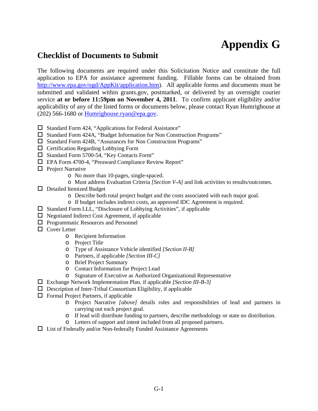## **Appendix G**

#### **Checklist of Documents to Submit**

The following documents are required under this Solicitation Notice and constitute the full application to EPA for assistance agreement funding. Fillable forms can be obtained from [http://www.epa.gov/ogd/AppKit/application.htm\)](http://www.epa.gov/ogd/AppKit/application.htm). All applicable forms and documents must be submitted and validated within grants.gov, postmarked, or delivered by an overnight courier service **at or before 11:59pm on November 4, 2011**. To confirm applicant eligibility and/or applicability of any of the listed forms or documents below, please contact Ryan Humrighouse at (202) 566-1680 or [Humrighouse.ryan@epa.gov.](mailto:Humrighouse.ryan@epa.gov)

- $\square$  Standard Form 424, "Applications for Federal Assistance"
- $\square$  Standard Form 424A, "Budget Information for Non Construction Programs"
- $\square$  Standard Form 424B, "Assurances for Non Construction Programs"
- $\Box$  Certification Regarding Lobbying Form
- □ Standard Form 5700-54, "Key Contacts Form"
- EPA Form 4700-4, "Preaward Compliance Review Report"
- $\Box$  Project Narrative
	- o No more than 10-pages, single-spaced.
	- o Must address Evaluation Criteria *[Section V-A]* and link activities to results/outcomes.
- $\Box$  Detailed Itemized Budget
	- o Describe both total project budget and the costs associated with each major goal.
	- o If budget includes indirect costs, an approved IDC Agreement is required.
- $\Box$  Standard Form LLL, "Disclosure of Lobbying Activities", if applicable
- $\Box$  Negotiated Indirect Cost Agreement, if applicable
- **Programmatic Resources and Personnel**
- $\Box$  Cover Letter
	- o Recipient Information
	- o Project Title
	- o Type of Assistance Vehicle identified *[Section II-B]*
	- o Partners, if applicable *[Section III-C]*
	- o Brief Project Summary
	- o Contact Information for Project Lead
	- o Signature of Executive as Authorized Organizational Representative
- Exchange Network Implementation Plan, if applicable *[Section III-B-3]*
- $\Box$  Description of Inter-Tribal Consortium Eligibility, if applicable
- $\Box$  Formal Project Partners, if applicable
	- o Project Narrative *[above]* details roles and responsibilities of lead and partners in carrying out each project goal.
	- o If lead will distribute funding to partners, describe methodology or state no distribution.
	- o Letters of support and intent included from all proposed partners.
- $\Box$  List of Federally and/or Non-federally Funded Assistance Agreements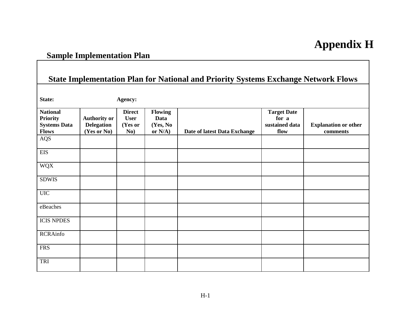# **Appendix H**

### **Sample Implementation Plan**

 $\Gamma$ 

| <b>State Implementation Plan for National and Priority Systems Exchange Network Flows</b> |                                                         |                                                |                                                         |                              |                                                       |                                         |  |  |  |
|-------------------------------------------------------------------------------------------|---------------------------------------------------------|------------------------------------------------|---------------------------------------------------------|------------------------------|-------------------------------------------------------|-----------------------------------------|--|--|--|
| State:                                                                                    |                                                         | Agency:                                        |                                                         |                              |                                                       |                                         |  |  |  |
| <b>National</b><br><b>Priority</b><br><b>Systems Data</b><br><b>Flows</b>                 | <b>Authority or</b><br><b>Delegation</b><br>(Yes or No) | <b>Direct</b><br><b>User</b><br>(Yes or<br>No) | <b>Flowing</b><br><b>Data</b><br>(Yes, No<br>or $N/A$ ) | Date of latest Data Exchange | <b>Target Date</b><br>for a<br>sustained data<br>flow | <b>Explanation or other</b><br>comments |  |  |  |
| AQS                                                                                       |                                                         |                                                |                                                         |                              |                                                       |                                         |  |  |  |
| <b>EIS</b>                                                                                |                                                         |                                                |                                                         |                              |                                                       |                                         |  |  |  |
| <b>WQX</b>                                                                                |                                                         |                                                |                                                         |                              |                                                       |                                         |  |  |  |
| <b>SDWIS</b>                                                                              |                                                         |                                                |                                                         |                              |                                                       |                                         |  |  |  |
| <b>UIC</b>                                                                                |                                                         |                                                |                                                         |                              |                                                       |                                         |  |  |  |
| eBeaches                                                                                  |                                                         |                                                |                                                         |                              |                                                       |                                         |  |  |  |
| <b>ICIS NPDES</b>                                                                         |                                                         |                                                |                                                         |                              |                                                       |                                         |  |  |  |
| <b>RCRAinfo</b>                                                                           |                                                         |                                                |                                                         |                              |                                                       |                                         |  |  |  |
| <b>FRS</b>                                                                                |                                                         |                                                |                                                         |                              |                                                       |                                         |  |  |  |
| TRI                                                                                       |                                                         |                                                |                                                         |                              |                                                       |                                         |  |  |  |